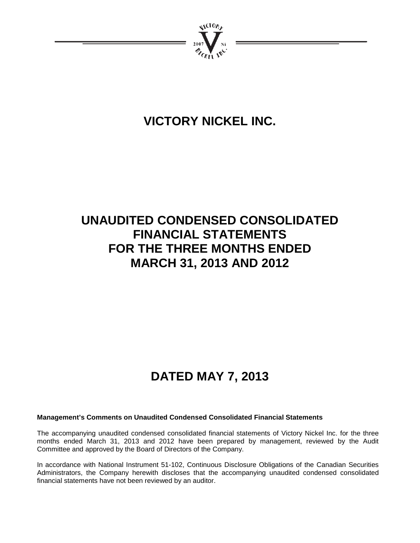

# **VICTORY NICKEL INC.**

# **UNAUDITED CONDENSED CONSOLIDATED FINANCIAL STATEMENTS FOR THE THREE MONTHS ENDED MARCH 31, 2013 AND 2012**

# **DATED MAY 7, 2013**

# **Management's Comments on Unaudited Condensed Consolidated Financial Statements**

The accompanying unaudited condensed consolidated financial statements of Victory Nickel Inc. for the three months ended March 31, 2013 and 2012 have been prepared by management, reviewed by the Audit Committee and approved by the Board of Directors of the Company.

In accordance with National Instrument 51-102, Continuous Disclosure Obligations of the Canadian Securities Administrators, the Company herewith discloses that the accompanying unaudited condensed consolidated financial statements have not been reviewed by an auditor.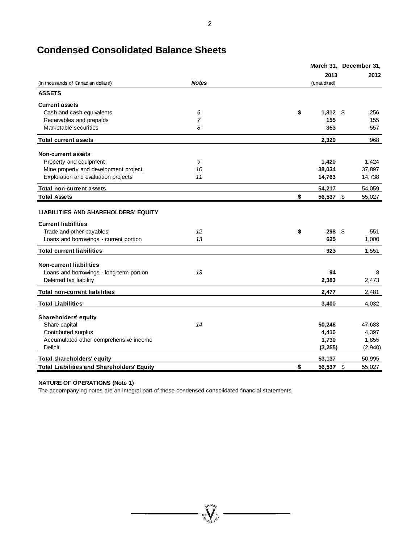# **Condensed Consolidated Balance Sheets**

|                                                   |                | March 31, December 31, |     |         |
|---------------------------------------------------|----------------|------------------------|-----|---------|
|                                                   |                | 2013                   |     | 2012    |
| (in thousands of Canadian dollars)                | <b>Notes</b>   | (unaudited)            |     |         |
| <b>ASSETS</b>                                     |                |                        |     |         |
| <b>Current assets</b>                             |                |                        |     |         |
| Cash and cash equivalents                         | 6              | $1,812$ \$<br>\$       |     | 256     |
| Receivables and prepaids                          | $\overline{7}$ | 155                    |     | 155     |
| Marketable securities                             | 8              | 353                    |     | 557     |
| <b>Total current assets</b>                       |                | 2,320                  |     | 968     |
| <b>Non-current assets</b>                         |                |                        |     |         |
| Property and equipment                            | 9              | 1,420                  |     | 1,424   |
| Mine property and development project             | 10             | 38,034                 |     | 37,897  |
| Exploration and evaluation projects               | 11             | 14,763                 |     | 14,738  |
| <b>Total non-current assets</b>                   |                | 54,217                 |     | 54,059  |
| <b>Total Assets</b>                               |                | \$<br>56,537 \$        |     | 55,027  |
| <b>LIABILITIES AND SHAREHOLDERS' EQUITY</b>       |                |                        |     |         |
| <b>Current liabilities</b>                        |                |                        |     |         |
| Trade and other payables                          | 12             | \$<br>298              | -\$ | 551     |
| Loans and borrowings - current portion            | 13             | 625                    |     | 1,000   |
| <b>Total current liabilities</b>                  |                | 923                    |     | 1,551   |
| <b>Non-current liabilities</b>                    |                |                        |     |         |
| Loans and borrowings - long-term portion          | 13             | 94                     |     | 8       |
| Deferred tax liability                            |                | 2,383                  |     | 2,473   |
| <b>Total non-current liabilities</b>              |                | 2,477                  |     | 2,481   |
| <b>Total Liabilities</b>                          |                | 3,400                  |     | 4,032   |
| <b>Shareholders' equity</b>                       |                |                        |     |         |
| Share capital                                     | 14             | 50,246                 |     | 47,683  |
| Contributed surplus                               |                | 4,416                  |     | 4,397   |
| Accumulated other comprehensive income            |                | 1,730                  |     | 1,855   |
| Deficit                                           |                | (3, 255)               |     | (2,940) |
| Total shareholders' equity                        |                | 53,137                 |     | 50,995  |
| <b>Total Liabilities and Shareholders' Equity</b> |                | 56,537 \$<br>\$        |     | 55.027  |

 $\sum_{j_{\ell}\in I_{\ell}}^{j_{\ell}\in I_{\ell}\cup J_{\ell}}$ 

# **NATURE OF OPERATIONS (Note 1)**

The accompanying notes are an integral part of these condensed consolidated financial statements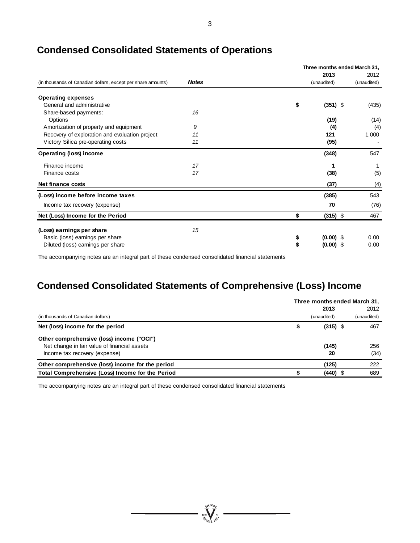|                                                              |              |          | Three months ended March 31, |             |
|--------------------------------------------------------------|--------------|----------|------------------------------|-------------|
|                                                              |              |          | 2013                         | 2012        |
| (in thousands of Canadian dollars, except per share amounts) | <b>Notes</b> |          | (unaudited)                  | (unaudited) |
| <b>Operating expenses</b>                                    |              |          |                              |             |
| General and administrative                                   |              | \$       | $(351)$ \$                   | (435)       |
| Share-based payments:                                        | 16           |          |                              |             |
| Options                                                      |              |          | (19)                         | (14)        |
| Amortization of property and equipment                       | 9            |          | (4)                          | (4)         |
| Recovery of exploration and evaluation project               | 11           |          | 121                          | 1,000       |
| Victory Silica pre-operating costs                           | 11           |          | (95)                         |             |
| <b>Operating (loss) income</b>                               |              |          | (348)                        | 547         |
| Finance income                                               | 17           |          | 1                            |             |
| Finance costs                                                | 17           |          | (38)                         | (5)         |
| Net finance costs                                            |              |          | (37)                         | (4)         |
| (Loss) income before income taxes                            |              |          | (385)                        | 543         |
| Income tax recovery (expense)                                |              |          | 70                           | (76)        |
| Net (Loss) Income for the Period                             |              | \$       | $(315)$ \$                   | 467         |
| (Loss) earnings per share                                    | 15           |          |                              |             |
| Basic (loss) earnings per share                              |              |          | $(0.00)$ \$                  | 0.00        |
| Diluted (loss) earnings per share                            |              | \$<br>\$ | $(0.00)$ \$                  | 0.00        |
|                                                              |              |          |                              |             |

# **Condensed Consolidated Statements of Operations**

The accompanying notes are an integral part of these condensed consolidated financial statements

# **Condensed Consolidated Statements of Comprehensive (Loss) Income**

|                                                  |   |             | Three months ended March 31, |
|--------------------------------------------------|---|-------------|------------------------------|
|                                                  |   | 2013        | 2012                         |
| (in thousands of Canadian dollars)               |   | (unaudited) | (unaudited)                  |
| Net (loss) income for the period                 | จ | $(315)$ \$  | 467                          |
| Other comprehensive (loss) income ("OCI")        |   |             |                              |
| Net change in fair value of financial assets     |   | (145)       | 256                          |
| Income tax recovery (expense)                    |   | 20          | (34)                         |
| Other comprehensive (loss) income for the period |   | (125)       | 222                          |
| Total Comprehensive (Loss) Income for the Period |   | (440)       | 689                          |

The accompanying notes are an integral part of these condensed consolidated financial statements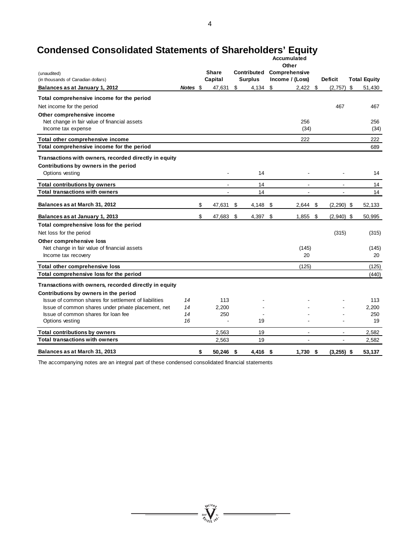# **Condensed Consolidated Statements of Shareholders' Equity**

|                                                       |                             |    |           |                |     | <b>Accumulated</b><br>Other |                              |    |                     |
|-------------------------------------------------------|-----------------------------|----|-----------|----------------|-----|-----------------------------|------------------------------|----|---------------------|
| (unaudited)                                           | Contributed<br><b>Share</b> |    |           | Comprehensive  |     |                             |                              |    |                     |
| (in thousands of Canadian dollars)                    |                             |    | Capital   | <b>Surplus</b> |     | Income / (Loss)             | <b>Deficit</b>               |    | <b>Total Equity</b> |
| Balances as at January 1, 2012                        | Notes \$                    |    | 47,631    | \$<br>4,134    | \$  | $2,422$ \$                  | (2,757)                      | \$ | 51,430              |
| Total comprehensive income for the period             |                             |    |           |                |     |                             |                              |    |                     |
| Net income for the period                             |                             |    |           |                |     |                             | 467                          |    | 467                 |
| Other comprehensive income                            |                             |    |           |                |     |                             |                              |    |                     |
| Net change in fair value of financial assets          |                             |    |           |                |     | 256                         |                              |    | 256                 |
| Income tax expense                                    |                             |    |           |                |     | (34)                        |                              |    | (34)                |
| Total other comprehensive income                      |                             |    |           |                |     | 222                         |                              |    | 222                 |
| Total comprehensive income for the period             |                             |    |           |                |     |                             |                              |    | 689                 |
| Transactions with owners, recorded directly in equity |                             |    |           |                |     |                             |                              |    |                     |
| Contributions by owners in the period                 |                             |    |           |                |     |                             |                              |    |                     |
| Options vesting                                       |                             |    |           | 14             |     |                             |                              |    | 14                  |
| Total contributions by owners                         |                             |    |           | 14             |     |                             |                              |    | 14                  |
| <b>Total transactions with owners</b>                 |                             |    |           | 14             |     |                             |                              |    | 14                  |
| Balances as at March 31, 2012                         |                             | \$ | 47,631    | \$<br>4,148    | \$  | 2,644                       | \$<br>$(2,290)$ \$           |    | 52,133              |
| Balances as at January 1, 2013                        |                             | \$ | 47,683    | \$<br>4,397    | -\$ | 1,855                       | \$<br>$(2,940)$ \$           |    | 50,995              |
| Total comprehensive loss for the period               |                             |    |           |                |     |                             |                              |    |                     |
| Net loss for the period                               |                             |    |           |                |     |                             | (315)                        |    | (315)               |
| Other comprehensive loss                              |                             |    |           |                |     |                             |                              |    |                     |
| Net change in fair value of financial assets          |                             |    |           |                |     | (145)                       |                              |    | (145)               |
| Income tax recovery                                   |                             |    |           |                |     | 20                          |                              |    | 20                  |
| Total other comprehensive loss                        |                             |    |           |                |     | (125)                       |                              |    | (125)               |
| Total comprehensive loss for the period               |                             |    |           |                |     |                             |                              |    | (440)               |
| Transactions with owners, recorded directly in equity |                             |    |           |                |     |                             |                              |    |                     |
| Contributions by owners in the period                 |                             |    |           |                |     |                             |                              |    |                     |
| Issue of common shares for settlement of liabilities  | 14                          |    | 113       |                |     |                             |                              |    | 113                 |
| Issue of common shares under private placement, net   | 14                          |    | 2,200     |                |     |                             |                              |    | 2,200               |
| Issue of common shares for loan fee                   | 14                          |    | 250       |                |     |                             |                              |    | 250                 |
| Options vesting                                       | 16                          |    | ÷.        | 19             |     |                             |                              |    | 19                  |
| <b>Total contributions by owners</b>                  |                             |    | 2,563     | 19             |     | $\blacksquare$              | ÷,                           |    | 2.582               |
| <b>Total transactions with owners</b>                 |                             |    | 2,563     | 19             |     | $\overline{\phantom{a}}$    | $\qquad \qquad \blacksquare$ |    | 2,582               |
| Balances as at March 31, 2013                         |                             | \$ | 50,246 \$ | 4,416 \$       |     | $1,730$ \$                  | $(3,255)$ \$                 |    | 53,137              |

The accompanying notes are an integral part of these condensed consolidated financial statements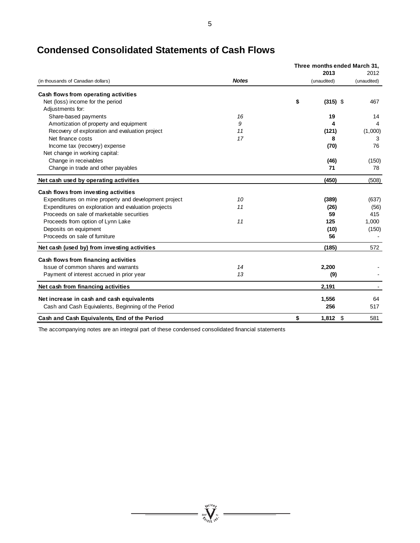|                                                       |              | Three months ended March 31, |             |
|-------------------------------------------------------|--------------|------------------------------|-------------|
|                                                       |              | 2013                         | 2012        |
| (in thousands of Canadian dollars)                    | <b>Notes</b> | (unaudited)                  | (unaudited) |
| Cash flows from operating activities                  |              |                              |             |
| Net (loss) income for the period                      |              | \$<br>$(315)$ \$             | 467         |
| Adjustments for:                                      |              |                              |             |
| Share-based payments                                  | 16           | 19                           | 14          |
| Amortization of property and equipment                | 9            | 4                            | 4           |
| Recovery of exploration and evaluation project        | 11           | (121)                        | (1,000)     |
| Net finance costs                                     | 17           | 8                            | 3           |
| Income tax (recovery) expense                         |              | (70)                         | 76          |
| Net change in working capital:                        |              |                              |             |
| Change in receivables                                 |              | (46)                         | (150)       |
| Change in trade and other payables                    |              | 71                           | 78          |
| Net cash used by operating activities                 |              | (450)                        | (508)       |
| Cash flows from investing activities                  |              |                              |             |
| Expenditures on mine property and development project | 10           | (389)                        | (637)       |
| Expenditures on exploration and evaluation projects   | 11           | (26)                         | (56)        |
| Proceeds on sale of marketable securities             |              | 59                           | 415         |
| Proceeds from option of Lynn Lake                     | 11           | 125                          | 1,000       |
| Deposits on equipment                                 |              | (10)                         | (150)       |
| Proceeds on sale of furniture                         |              | 56                           |             |
| Net cash (used by) from investing activities          |              | (185)                        | 572         |
| Cash flows from financing activities                  |              |                              |             |
| Issue of common shares and warrants                   | 14           | 2,200                        |             |
| Payment of interest accrued in prior year             | 13           | (9)                          |             |
| Net cash from financing activities                    |              | 2,191                        |             |
| Net increase in cash and cash equivalents             |              | 1,556                        | 64          |
| Cash and Cash Equivalents, Beginning of the Period    |              | 256                          | 517         |
| Cash and Cash Equivalents, End of the Period          |              | \$<br>$1,812$ \$             | 581         |

**WICIONA** 

# **Condensed Consolidated Statements of Cash Flows**

The accompanying notes are an integral part of these condensed consolidated financial statements

5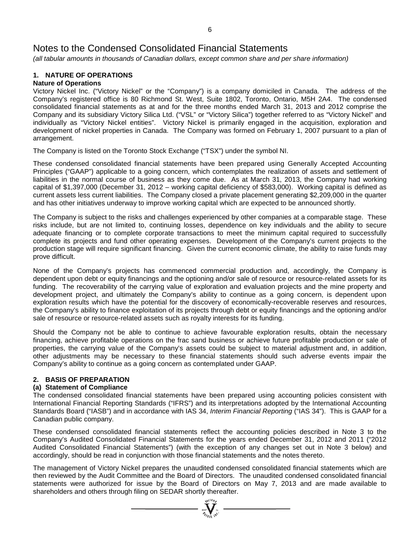*(all tabular amounts in thousands of Canadian dollars, except common share and per share information)*

# **1. NATURE OF OPERATIONS**

# **Nature of Operations**

Victory Nickel Inc. ("Victory Nickel" or the "Company") is a company domiciled in Canada. The address of the Company's registered office is 80 Richmond St. West, Suite 1802, Toronto, Ontario, M5H 2A4. The condensed consolidated financial statements as at and for the three months ended March 31, 2013 and 2012 comprise the Company and its subsidiary Victory Silica Ltd. ("VSL" or "Victory Silica") together referred to as "Victory Nickel" and individually as "Victory Nickel entities". Victory Nickel is primarily engaged in the acquisition, exploration and development of nickel properties in Canada. The Company was formed on February 1, 2007 pursuant to a plan of arrangement.

The Company is listed on the Toronto Stock Exchange ("TSX") under the symbol NI.

These condensed consolidated financial statements have been prepared using Generally Accepted Accounting Principles ("GAAP") applicable to a going concern, which contemplates the realization of assets and settlement of liabilities in the normal course of business as they come due. As at March 31, 2013, the Company had working capital of \$1,397,000 (December 31, 2012 – working capital deficiency of \$583,000). Working capital is defined as current assets less current liabilities. The Company closed a private placement generating \$2,209,000 in the quarter and has other initiatives underway to improve working capital which are expected to be announced shortly.

The Company is subject to the risks and challenges experienced by other companies at a comparable stage. These risks include, but are not limited to, continuing losses, dependence on key individuals and the ability to secure adequate financing or to complete corporate transactions to meet the minimum capital required to successfully complete its projects and fund other operating expenses. Development of the Company's current projects to the production stage will require significant financing. Given the current economic climate, the ability to raise funds may prove difficult.

None of the Company's projects has commenced commercial production and, accordingly, the Company is dependent upon debt or equity financings and the optioning and/or sale of resource or resource-related assets for its funding. The recoverability of the carrying value of exploration and evaluation projects and the mine property and development project, and ultimately the Company's ability to continue as a going concern, is dependent upon exploration results which have the potential for the discovery of economically-recoverable reserves and resources, the Company's ability to finance exploitation of its projects through debt or equity financings and the optioning and/or sale of resource or resource-related assets such as royalty interests for its funding.

Should the Company not be able to continue to achieve favourable exploration results, obtain the necessary financing, achieve profitable operations on the frac sand business or achieve future profitable production or sale of properties, the carrying value of the Company's assets could be subject to material adjustment and, in addition, other adjustments may be necessary to these financial statements should such adverse events impair the Company's ability to continue as a going concern as contemplated under GAAP.

# **2. BASIS OF PREPARATION**

# **(a) Statement of Compliance**

The condensed consolidated financial statements have been prepared using accounting policies consistent with International Financial Reporting Standards ("IFRS") and its interpretations adopted by the International Accounting Standards Board ("IASB") and in accordance with IAS 34, *Interim Financial Reporting* ("IAS 34"). This is GAAP for a Canadian public company.

These condensed consolidated financial statements reflect the accounting policies described in Note 3 to the Company's Audited Consolidated Financial Statements for the years ended December 31, 2012 and 2011 ("2012 Audited Consolidated Financial Statements") (with the exception of any changes set out in Note 3 below) and accordingly, should be read in conjunction with those financial statements and the notes thereto.

The management of Victory Nickel prepares the unaudited condensed consolidated financial statements which are then reviewed by the Audit Committee and the Board of Directors. The unaudited condensed consolidated financial statements were authorized for issue by the Board of Directors on May 7, 2013 and are made available to shareholders and others through filing on SEDAR shortly thereafter.

 $\sum_{i=1}^{N^{CIO}}\sum_{j=1}^{N^{CIO}}$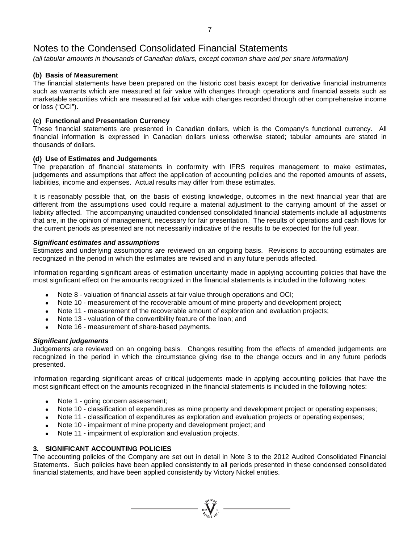*(all tabular amounts in thousands of Canadian dollars, except common share and per share information)*

# **(b) Basis of Measurement**

The financial statements have been prepared on the historic cost basis except for derivative financial instruments such as warrants which are measured at fair value with changes through operations and financial assets such as marketable securities which are measured at fair value with changes recorded through other comprehensive income or loss ("OCI").

# **(c) Functional and Presentation Currency**

These financial statements are presented in Canadian dollars, which is the Company's functional currency. All financial information is expressed in Canadian dollars unless otherwise stated; tabular amounts are stated in thousands of dollars.

# **(d) Use of Estimates and Judgements**

The preparation of financial statements in conformity with IFRS requires management to make estimates, judgements and assumptions that affect the application of accounting policies and the reported amounts of assets, liabilities, income and expenses. Actual results may differ from these estimates.

It is reasonably possible that, on the basis of existing knowledge, outcomes in the next financial year that are different from the assumptions used could require a material adjustment to the carrying amount of the asset or liability affected. The accompanying unaudited condensed consolidated financial statements include all adjustments that are, in the opinion of management, necessary for fair presentation. The results of operations and cash flows for the current periods as presented are not necessarily indicative of the results to be expected for the full year.

# *Significant estimates and assumptions*

Estimates and underlying assumptions are reviewed on an ongoing basis. Revisions to accounting estimates are recognized in the period in which the estimates are revised and in any future periods affected.

Information regarding significant areas of estimation uncertainty made in applying accounting policies that have the most significant effect on the amounts recognized in the financial statements is included in the following notes:

- Note 8 valuation of financial assets at fair value through operations and OCI;
- Note 10 measurement of the recoverable amount of mine property and development project;
- Note 11 measurement of the recoverable amount of exploration and evaluation projects;
- Note 13 valuation of the convertibility feature of the loan; and
- Note 16 measurement of share-based payments.

# *Significant judgements*

Judgements are reviewed on an ongoing basis. Changes resulting from the effects of amended judgements are recognized in the period in which the circumstance giving rise to the change occurs and in any future periods presented.

Information regarding significant areas of critical judgements made in applying accounting policies that have the most significant effect on the amounts recognized in the financial statements is included in the following notes:

- Note 1 going concern assessment;
- Note 10 classification of expenditures as mine property and development project or operating expenses;
- Note 11 classification of expenditures as exploration and evaluation projects or operating expenses;
- Note 10 impairment of mine property and development project; and
- Note 11 impairment of exploration and evaluation projects.

# **3. SIGNIFICANT ACCOUNTING POLICIES**

The accounting policies of the Company are set out in detail in Note 3 to the 2012 Audited Consolidated Financial Statements. Such policies have been applied consistently to all periods presented in these condensed consolidated financial statements, and have been applied consistently by Victory Nickel entities.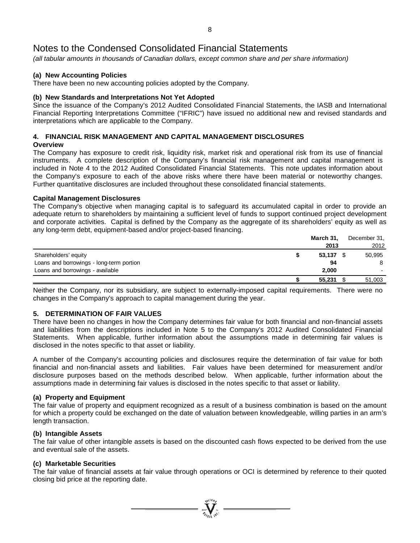*(all tabular amounts in thousands of Canadian dollars, except common share and per share information)*

# **(a) New Accounting Policies**

There have been no new accounting policies adopted by the Company.

# **(b) New Standards and Interpretations Not Yet Adopted**

Since the issuance of the Company's 2012 Audited Consolidated Financial Statements, the IASB and International Financial Reporting Interpretations Committee ("IFRIC") have issued no additional new and revised standards and interpretations which are applicable to the Company.

# **4. FINANCIAL RISK MANAGEMENT AND CAPITAL MANAGEMENT DISCLOSURES**

# **Overview**

The Company has exposure to credit risk, liquidity risk, market risk and operational risk from its use of financial instruments. A complete description of the Company's financial risk management and capital management is included in Note 4 to the 2012 Audited Consolidated Financial Statements. This note updates information about the Company's exposure to each of the above risks where there have been material or noteworthy changes. Further quantitative disclosures are included throughout these consolidated financial statements.

# **Capital Management Disclosures**

The Company's objective when managing capital is to safeguard its accumulated capital in order to provide an adequate return to shareholders by maintaining a sufficient level of funds to support continued project development and corporate activities. Capital is defined by the Company as the aggregate of its shareholders' equity as well as any long-term debt, equipment-based and/or project-based financing.

|                                          | March 31,<br>2013 | December 31,<br>2012 |
|------------------------------------------|-------------------|----------------------|
| Shareholders' equity                     | $53,137$ \$       | 50,995               |
| Loans and borrowings - long-term portion | 94                | 8                    |
| Loans and borrowings - available         | 2.000             |                      |
|                                          | 55,231            | 51,003               |

Neither the Company, nor its subsidiary, are subject to externally-imposed capital requirements. There were no changes in the Company's approach to capital management during the year.

# **5. DETERMINATION OF FAIR VALUES**

There have been no changes in how the Company determines fair value for both financial and non-financial assets and liabilities from the descriptions included in Note 5 to the Company's 2012 Audited Consolidated Financial Statements. When applicable, further information about the assumptions made in determining fair values is disclosed in the notes specific to that asset or liability.

A number of the Company's accounting policies and disclosures require the determination of fair value for both financial and non-financial assets and liabilities. Fair values have been determined for measurement and/or disclosure purposes based on the methods described below. When applicable, further information about the assumptions made in determining fair values is disclosed in the notes specific to that asset or liability.

# **(a) Property and Equipment**

The fair value of property and equipment recognized as a result of a business combination is based on the amount for which a property could be exchanged on the date of valuation between knowledgeable, willing parties in an arm's length transaction.

# **(b) Intangible Assets**

The fair value of other intangible assets is based on the discounted cash flows expected to be derived from the use and eventual sale of the assets.

# **(c) Marketable Securities**

The fair value of financial assets at fair value through operations or OCI is determined by reference to their quoted closing bid price at the reporting date.

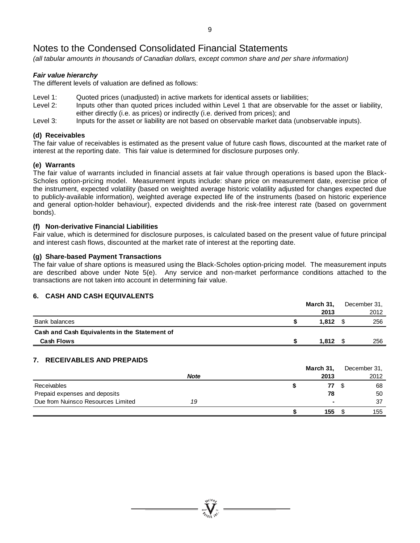*(all tabular amounts in thousands of Canadian dollars, except common share and per share information)*

# *Fair value hierarchy*

The different levels of valuation are defined as follows:

- Level 1: Quoted prices (unadjusted) in active markets for identical assets or liabilities;<br>Level 2: Inputs other than quoted prices included within Level 1 that are observable
- Inputs other than quoted prices included within Level 1 that are observable for the asset or liability, either directly (i.e. as prices) or indirectly (i.e. derived from prices); and
- Level 3: Inputs for the asset or liability are not based on observable market data (unobservable inputs).

# **(d) Receivables**

The fair value of receivables is estimated as the present value of future cash flows, discounted at the market rate of interest at the reporting date. This fair value is determined for disclosure purposes only.

# **(e) Warrants**

The fair value of warrants included in financial assets at fair value through operations is based upon the Black-Scholes option-pricing model. Measurement inputs include: share price on measurement date, exercise price of the instrument, expected volatility (based on weighted average historic volatility adjusted for changes expected due to publicly-available information), weighted average expected life of the instruments (based on historic experience and general option-holder behaviour), expected dividends and the risk-free interest rate (based on government bonds).

# **(f) Non-derivative Financial Liabilities**

Fair value, which is determined for disclosure purposes, is calculated based on the present value of future principal and interest cash flows, discounted at the market rate of interest at the reporting date.

# **(g) Share-based Payment Transactions**

The fair value of share options is measured using the Black-Scholes option-pricing model. The measurement inputs are described above under Note 5(e). Any service and non-market performance conditions attached to the transactions are not taken into account in determining fair value.

# **6. CASH AND CASH EQUIVALENTS**

|                                               | March 31, | December 31, |
|-----------------------------------------------|-----------|--------------|
|                                               | 2013      | 2012         |
| Bank balances                                 | 1.812     | 256          |
| Cash and Cash Equivalents in the Statement of |           |              |
| <b>Cash Flows</b>                             | 1.812     | 256          |

# **7. RECEIVABLES AND PREPAIDS**

|                                    |             | March 31, |      | December 31, |
|------------------------------------|-------------|-----------|------|--------------|
|                                    | <b>Note</b> |           | 2013 | 2012         |
| Receivables                        |             |           | 77   | 68           |
| Prepaid expenses and deposits      |             |           | 78   | 50           |
| Due from Nuinsco Resources Limited | 19          |           |      | 37           |
|                                    |             |           | 155  | 155          |

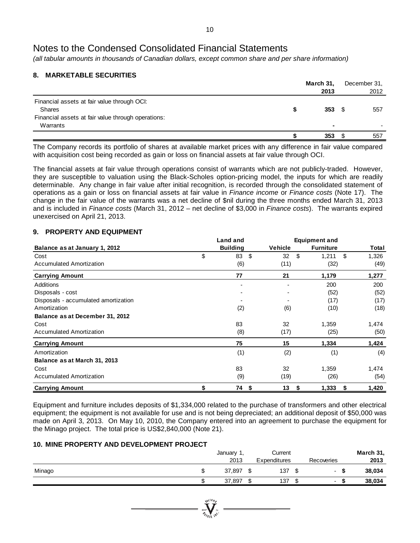*(all tabular amounts in thousands of Canadian dollars, except common share and per share information)*

# **8. MARKETABLE SECURITIES**

|                                                    | March 31,<br>2013 |      | December 31,<br>2012 |
|----------------------------------------------------|-------------------|------|----------------------|
|                                                    |                   |      |                      |
| Financial assets at fair value through OCI:        |                   |      |                      |
| Shares                                             | 353               | - \$ | 557                  |
| Financial assets at fair value through operations: |                   |      |                      |
| Warrants                                           | ٠                 |      |                      |
|                                                    | 353               |      | 557                  |
|                                                    |                   |      |                      |

The Company records its portfolio of shares at available market prices with any difference in fair value compared with acquisition cost being recorded as gain or loss on financial assets at fair value through OCI.

The financial assets at fair value through operations consist of warrants which are not publicly-traded. However, they are susceptible to valuation using the Black-Scholes option-pricing model, the inputs for which are readily determinable. Any change in fair value after initial recognition, is recorded through the consolidated statement of operations as a gain or loss on financial assets at fair value in *Finance income* or *Finance costs* (Note 17). The change in the fair value of the warrants was a net decline of \$nil during the three months ended March 31, 2013 and is included in *Finance costs* (March 31, 2012 – net decline of \$3,000 in *Finance costs*). The warrants expired unexercised on April 21, 2013.

# **9. PROPERTY AND EQUIPMENT**

|                                      | Land and         |                | <b>Equipment and</b> |       |  |  |
|--------------------------------------|------------------|----------------|----------------------|-------|--|--|
| Balance as at January 1, 2012        | <b>Building</b>  | <b>Vehicle</b> | <b>Furniture</b>     | Total |  |  |
| Cost                                 | \$<br>83<br>- \$ | \$<br>32       | \$<br>1,211          | 1,326 |  |  |
| Accumulated Amortization             | (6)              | (11)           | (32)                 | (49)  |  |  |
| <b>Carrying Amount</b>               | 77               | 21             | 1,179                | 1,277 |  |  |
| Additions                            | ٠                | $\blacksquare$ | 200                  | 200   |  |  |
| Disposals - cost                     |                  |                | (52)                 | (52)  |  |  |
| Disposals - accumulated amortization |                  |                | (17)                 | (17)  |  |  |
| Amortization                         | (2)              | (6)            | (10)                 | (18)  |  |  |
| Balance as at December 31, 2012      |                  |                |                      |       |  |  |
| Cost                                 | 83               | 32             | 1,359                | 1,474 |  |  |
| <b>Accumulated Amortization</b>      | (8)              | (17)           | (25)                 | (50)  |  |  |
| <b>Carrying Amount</b>               | 75               | 15             | 1,334                | 1,424 |  |  |
| Amortization                         | (1)              | (2)            | (1)                  | (4)   |  |  |
| Balance as at March 31, 2013         |                  |                |                      |       |  |  |
| Cost                                 | 83               | 32             | 1,359                | 1,474 |  |  |
| Accumulated Amortization             | (9)              | (19)           | (26)                 | (54)  |  |  |
| <b>Carrying Amount</b>               | \$<br>74 \$      | 13<br>\$       | 1,333<br>\$          | 1,420 |  |  |

Equipment and furniture includes deposits of \$1,334,000 related to the purchase of transformers and other electrical equipment; the equipment is not available for use and is not being depreciated; an additional deposit of \$50,000 was made on April 3, 2013. On May 10, 2010, the Company entered into an agreement to purchase the equipment for the Minago project. The total price is US\$2,840,000 (Note 21).

# **10. MINE PROPERTY AND DEVELOPMENT PROJECT**

|        | January |    | Current      |    |            | March 31, |
|--------|---------|----|--------------|----|------------|-----------|
|        | 2013    |    | Expenditures |    | Recoveries | 2013      |
| Minago | 37,897  | ъ  | 137          | ъ  |            | 38,034    |
|        | 37,897  | ۰D | 137          | ۰D | -          | 38,034    |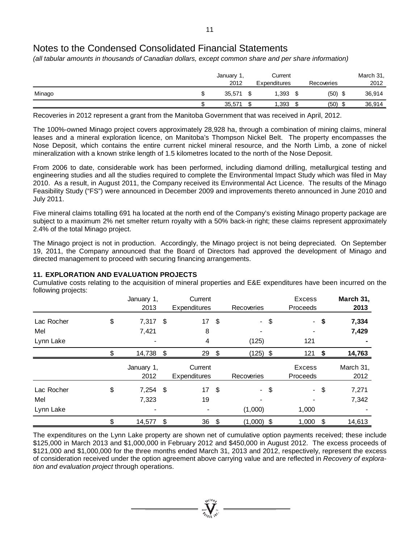*(all tabular amounts in thousands of Canadian dollars, except common share and per share information)*

|        |   | January 1 |   | Current      |      |              | March 31, |
|--------|---|-----------|---|--------------|------|--------------|-----------|
|        |   | 2012      |   | Expenditures |      | Recoveries   | 2012      |
| Minago | w | 35,571    | Œ | .393         | - \$ | (50)<br>- \$ | 36,914    |
|        |   | 35,571    | w | .393         | ◠    | (50)<br>Œ    | 36,914    |

Recoveries in 2012 represent a grant from the Manitoba Government that was received in April, 2012.

The 100%-owned Minago project covers approximately 28,928 ha, through a combination of mining claims, mineral leases and a mineral exploration licence, on Manitoba's Thompson Nickel Belt. The property encompasses the Nose Deposit, which contains the entire current nickel mineral resource, and the North Limb, a zone of nickel mineralization with a known strike length of 1.5 kilometres located to the north of the Nose Deposit.

From 2006 to date, considerable work has been performed, including diamond drilling, metallurgical testing and engineering studies and all the studies required to complete the Environmental Impact Study which was filed in May 2010. As a result, in August 2011, the Company received its Environmental Act Licence. The results of the Minago Feasibility Study ("FS") were announced in December 2009 and improvements thereto announced in June 2010 and July 2011.

Five mineral claims totalling 691 ha located at the north end of the Company's existing Minago property package are subject to a maximum 2% net smelter return royalty with a 50% back-in right; these claims represent approximately 2.4% of the total Minago project.

The Minago project is not in production. Accordingly, the Minago project is not being depreciated. On September 19, 2011, the Company announced that the Board of Directors had approved the development of Minago and directed management to proceed with securing financing arrangements.

# **11. EXPLORATION AND EVALUATION PROJECTS**

Cumulative costs relating to the acquisition of mineral properties and E&E expenditures have been incurred on the following projects:

|            | January 1,<br>2013 | Current<br><b>Expenditures</b> |     | Recoveries   | Excess<br>Proceeds |        | March 31,<br>2013 |
|------------|--------------------|--------------------------------|-----|--------------|--------------------|--------|-------------------|
| Lac Rocher | \$<br>$7,317$ \$   | 17 <sub>1</sub>                | \$  | - \$         | - \$               |        | 7,334             |
| Mel        | 7,421              | 8                              |     |              |                    |        | 7,429             |
| Lynn Lake  |                    | 4                              |     | (125)        | 121                |        |                   |
|            | 14,738 \$          | 29 \$                          |     | $(125)$ \$   | 121                | -\$    | 14,763            |
|            | January 1,<br>2012 | Current<br><b>Expenditures</b> |     | Recoveries   | Excess<br>Proceeds |        | March 31,<br>2012 |
| Lac Rocher | \$<br>$7,254$ \$   | 17 <sup>2</sup>                | -\$ | - \$         |                    | $-$ \$ | 7,271             |
| Mel        | 7,323              | 19                             |     |              |                    |        | 7,342             |
| Lynn Lake  |                    | $\blacksquare$                 |     | (1,000)      | 1,000              |        |                   |
|            | \$<br>14,577       | \$<br>36                       | \$  | $(1,000)$ \$ | 1,000              | \$     | 14,613            |

The expenditures on the Lynn Lake property are shown net of cumulative option payments received; these include \$125,000 in March 2013 and \$1,000,000 in February 2012 and \$450,000 in August 2012. The excess proceeds of \$121,000 and \$1,000,000 for the three months ended March 31, 2013 and 2012, respectively, represent the excess of consideration received under the option agreement above carrying value and are reflected in *Recovery of exploration and evaluation project* through operations.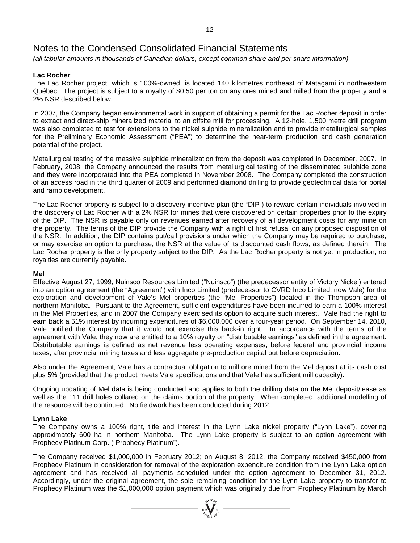*(all tabular amounts in thousands of Canadian dollars, except common share and per share information)*

# **Lac Rocher**

The Lac Rocher project, which is 100%-owned, is located 140 kilometres northeast of Matagami in northwestern Québec. The project is subject to a royalty of \$0.50 per ton on any ores mined and milled from the property and a 2% NSR described below.

In 2007, the Company began environmental work in support of obtaining a permit for the Lac Rocher deposit in order to extract and direct-ship mineralized material to an offsite mill for processing. A 12-hole, 1,500 metre drill program was also completed to test for extensions to the nickel sulphide mineralization and to provide metallurgical samples for the Preliminary Economic Assessment ("PEA") to determine the near-term production and cash generation potential of the project.

Metallurgical testing of the massive sulphide mineralization from the deposit was completed in December, 2007. In February, 2008, the Company announced the results from metallurgical testing of the disseminated sulphide zone and they were incorporated into the PEA completed in November 2008. The Company completed the construction of an access road in the third quarter of 2009 and performed diamond drilling to provide geotechnical data for portal and ramp development.

The Lac Rocher property is subject to a discovery incentive plan (the "DIP") to reward certain individuals involved in the discovery of Lac Rocher with a 2% NSR for mines that were discovered on certain properties prior to the expiry of the DIP. The NSR is payable only on revenues earned after recovery of all development costs for any mine on the property. The terms of the DIP provide the Company with a right of first refusal on any proposed disposition of the NSR. In addition, the DIP contains put/call provisions under which the Company may be required to purchase, or may exercise an option to purchase, the NSR at the value of its discounted cash flows, as defined therein. The Lac Rocher property is the only property subject to the DIP. As the Lac Rocher property is not yet in production, no royalties are currently payable.

# **Mel**

Effective August 27, 1999, Nuinsco Resources Limited ("Nuinsco") (the predecessor entity of Victory Nickel) entered into an option agreement (the "Agreement") with Inco Limited (predecessor to CVRD Inco Limited, now Vale) for the exploration and development of Vale's Mel properties (the "Mel Properties") located in the Thompson area of northern Manitoba. Pursuant to the Agreement, sufficient expenditures have been incurred to earn a 100% interest in the Mel Properties, and in 2007 the Company exercised its option to acquire such interest. Vale had the right to earn back a 51% interest by incurring expenditures of \$6,000,000 over a four-year period. On September 14, 2010, Vale notified the Company that it would not exercise this back-in right. In accordance with the terms of the agreement with Vale, they now are entitled to a 10% royalty on "distributable earnings" as defined in the agreement. Distributable earnings is defined as net revenue less operating expenses, before federal and provincial income taxes, after provincial mining taxes and less aggregate pre-production capital but before depreciation.

Also under the Agreement, Vale has a contractual obligation to mill ore mined from the Mel deposit at its cash cost plus 5% (provided that the product meets Vale specifications and that Vale has sufficient mill capacity).

Ongoing updating of Mel data is being conducted and applies to both the drilling data on the Mel deposit/lease as well as the 111 drill holes collared on the claims portion of the property. When completed, additional modelling of the resource will be continued. No fieldwork has been conducted during 2012.

# **Lynn Lake**

The Company owns a 100% right, title and interest in the Lynn Lake nickel property ("Lynn Lake"), covering approximately 600 ha in northern Manitoba. The Lynn Lake property is subject to an option agreement with Prophecy Platinum Corp. ("Prophecy Platinum").

The Company received \$1,000,000 in February 2012; on August 8, 2012, the Company received \$450,000 from Prophecy Platinum in consideration for removal of the exploration expenditure condition from the Lynn Lake option agreement and has received all payments scheduled under the option agreement to December 31, 2012. Accordingly, under the original agreement, the sole remaining condition for the Lynn Lake property to transfer to Prophecy Platinum was the \$1,000,000 option payment which was originally due from Prophecy Platinum by March

 $\sum_{n=1}^{\infty} \sum_{n=1}^{\infty}$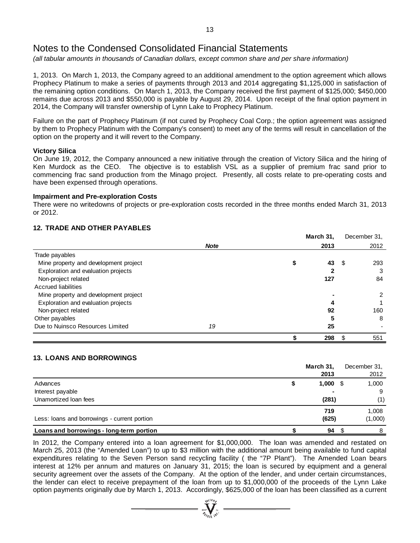*(all tabular amounts in thousands of Canadian dollars, except common share and per share information)*

1, 2013. On March 1, 2013, the Company agreed to an additional amendment to the option agreement which allows Prophecy Platinum to make a series of payments through 2013 and 2014 aggregating \$1,125,000 in satisfaction of the remaining option conditions. On March 1, 2013, the Company received the first payment of \$125,000; \$450,000 remains due across 2013 and \$550,000 is payable by August 29, 2014. Upon receipt of the final option payment in 2014, the Company will transfer ownership of Lynn Lake to Prophecy Platinum.

Failure on the part of Prophecy Platinum (if not cured by Prophecy Coal Corp.; the option agreement was assigned by them to Prophecy Platinum with the Company's consent) to meet any of the terms will result in cancellation of the option on the property and it will revert to the Company.

# **Victory Silica**

On June 19, 2012, the Company announced a new initiative through the creation of Victory Silica and the hiring of Ken Murdock as the CEO. The objective is to establish VSL as a supplier of premium frac sand prior to commencing frac sand production from the Minago project. Presently, all costs relate to pre-operating costs and have been expensed through operations.

# **Impairment and Pre-exploration Costs**

There were no writedowns of projects or pre-exploration costs recorded in the three months ended March 31, 2013 or 2012.

# **12. TRADE AND OTHER PAYABLES**

|                                       |             | March 31, |      | December 31,  |
|---------------------------------------|-------------|-----------|------|---------------|
|                                       | <b>Note</b> | 2013      |      | 2012          |
| Trade payables                        |             |           |      |               |
| Mine property and development project |             | 43        | - \$ | 293           |
| Exploration and evaluation projects   |             |           |      | 3             |
| Non-project related                   |             | 127       |      | 84            |
| Accrued liabilities                   |             |           |      |               |
| Mine property and development project |             |           |      | $\mathcal{P}$ |
| Exploration and evaluation projects   |             |           | 4    |               |
| Non-project related                   |             | 92        |      | 160           |
| Other payables                        |             |           |      | 8             |
| Due to Nuinsco Resources Limited      | 19          | 25        |      |               |
|                                       |             | 298       | \$   | 551           |

# **13. LOANS AND BORROWINGS**

|                                              | March 31, | December 31,  |
|----------------------------------------------|-----------|---------------|
|                                              | 2013      | 2012          |
| Advances                                     | 1,000     | 1,000<br>- \$ |
| Interest payable                             |           |               |
| Unamortized Ioan fees                        | (281)     | (1)           |
|                                              | 719       | 1,008         |
| Less: loans and borrowings - current portion | (625)     | (1,000)       |
| Loans and borrowings - long-term portion     | 94        |               |

In 2012, the Company entered into a loan agreement for \$1,000,000. The loan was amended and restated on March 25, 2013 (the "Amended Loan") to up to \$3 million with the additional amount being available to fund capital expenditures relating to the Seven Person sand recycling facility ( the "7P Plant"). The Amended Loan bears interest at 12% per annum and matures on January 31, 2015; the loan is secured by equipment and a general security agreement over the assets of the Company. At the option of the lender, and under certain circumstances, the lender can elect to receive prepayment of the loan from up to \$1,000,000 of the proceeds of the Lynn Lake option payments originally due by March 1, 2013. Accordingly, \$625,000 of the loan has been classified as a current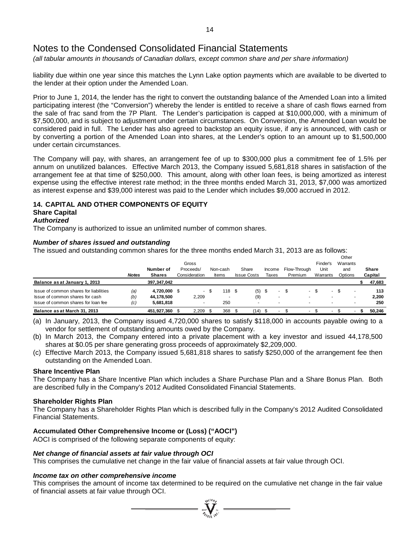*(all tabular amounts in thousands of Canadian dollars, except common share and per share information)*

liability due within one year since this matches the Lynn Lake option payments which are available to be diverted to the lender at their option under the Amended Loan.

Prior to June 1, 2014, the lender has the right to convert the outstanding balance of the Amended Loan into a limited participating interest (the "Conversion") whereby the lender is entitled to receive a share of cash flows earned from the sale of frac sand from the 7P Plant. The Lender's participation is capped at \$10,000,000, with a minimum of \$7,500,000, and is subject to adjustment under certain circumstances. On Conversion, the Amended Loan would be considered paid in full. The Lender has also agreed to backstop an equity issue, if any is announced, with cash or by converting a portion of the Amended Loan into shares, at the Lender's option to an amount up to \$1,500,000 under certain circumstances.

The Company will pay, with shares, an arrangement fee of up to \$300,000 plus a commitment fee of 1.5% per annum on unutilized balances. Effective March 2013, the Company issued 5,681,818 shares in satisfaction of the arrangement fee at that time of \$250,000. This amount, along with other loan fees, is being amortized as interest expense using the effective interest rate method; in the three months ended March 31, 2013, \$7,000 was amortized as interest expense and \$39,000 interest was paid to the Lender which includes \$9,000 accrued in 2012.

# **14. CAPITAL AND OTHER COMPONENTS OF EQUITY**

# **Share Capital**

# *Authorized*

The Company is authorized to issue an unlimited number of common shares.

# *Number of shares issued and outstanding*

The issued and outstanding common shares for the three months ended March 31, 2013 are as follows:

|                                        |              | Number of     | Gross<br>Proceeds/ |          | Non-cash | Share              | Income | Flow-Through |                          | Finder's<br>Unit         | Other<br>Warrants<br>and |                          | <b>Share</b> |
|----------------------------------------|--------------|---------------|--------------------|----------|----------|--------------------|--------|--------------|--------------------------|--------------------------|--------------------------|--------------------------|--------------|
|                                        | <b>Notes</b> | <b>Shares</b> | Consideration      |          | Items    | <b>Issue Costs</b> | Taxes  | Premium      |                          | Warrants                 | Options                  |                          | Capital      |
| Balance as at January 1, 2013          |              | 397.347.042   |                    |          |          |                    |        |              |                          |                          |                          |                          | 47,683       |
| Issue of common shares for liabilities | (a)          | 4,720,000 \$  |                    | <br>- 35 | 118 S    | (5)                | - \$   | \$           | $\sim$                   | - \$<br>$\sim$           | . ა                      | $\overline{\phantom{a}}$ | 113          |
| Issue of common shares for cash        | (b)          | 44,178,500    | 2,209              |          |          | (9)                |        |              |                          |                          |                          |                          | 2.200        |
| Issue of common shares for loan fee    | (c)          | 5,681,818     |                    |          | 250      |                    |        |              |                          | $\overline{\phantom{a}}$ |                          | $\overline{\phantom{a}}$ | 250          |
| Balance as at March 31, 2013           |              | 451.927.360   | 2.209              |          | 368      | (14)               | -S     |              | $\overline{\phantom{a}}$ | $\overline{\phantom{a}}$ |                          |                          | 50.246       |

(a) In January, 2013, the Company issued 4,720,000 shares to satisfy \$118,000 in accounts payable owing to a vendor for settlement of outstanding amounts owed by the Company.

(b) In March 2013, the Company entered into a private placement with a key investor and issued 44,178,500 shares at \$0.05 per share generating gross proceeds of approximately \$2,209,000.

(c) Effective March 2013, the Company issued 5,681,818 shares to satisfy \$250,000 of the arrangement fee then outstanding on the Amended Loan.

# **Share Incentive Plan**

The Company has a Share Incentive Plan which includes a Share Purchase Plan and a Share Bonus Plan. Both are described fully in the Company's 2012 Audited Consolidated Financial Statements.

# **Shareholder Rights Plan**

The Company has a Shareholder Rights Plan which is described fully in the Company's 2012 Audited Consolidated Financial Statements.

# **Accumulated Other Comprehensive Income or (Loss) ("AOCI")**

AOCI is comprised of the following separate components of equity:

# *Net change of financial assets at fair value through OCI*

This comprises the cumulative net change in the fair value of financial assets at fair value through OCI.

# *Income tax on other comprehensive income*

This comprises the amount of income tax determined to be required on the cumulative net change in the fair value of financial assets at fair value through OCI.

 $\sum_{\substack{u \in \mathcal{U}^{(0)} \cup \mathcal{U}^{(1)} \\ \text{and } \text{ } u \in \mathcal{U}^{(1)} }} \mathcal{L}^{(1)}_{\text{in}} =$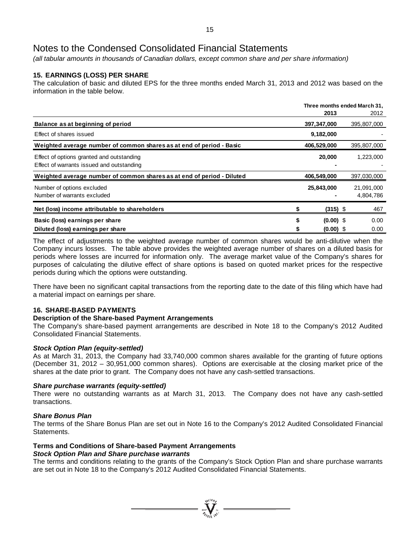*(all tabular amounts in thousands of Canadian dollars, except common share and per share information)*

# **15. EARNINGS (LOSS) PER SHARE**

The calculation of basic and diluted EPS for the three months ended March 31, 2013 and 2012 was based on the information in the table below.

|                                                                                        | Three months ended March 31, |                         |
|----------------------------------------------------------------------------------------|------------------------------|-------------------------|
|                                                                                        | 2013                         | 2012                    |
| Balance as at beginning of period                                                      | 397,347,000                  | 395,807,000             |
| Effect of shares issued                                                                | 9,182,000                    |                         |
| Weighted average number of common shares as at end of period - Basic                   | 406,529,000                  | 395,807,000             |
| Effect of options granted and outstanding<br>Effect of warrants issued and outstanding | 20,000                       | 1,223,000               |
| Weighted average number of common shares as at end of period - Diluted                 | 406,549,000                  | 397,030,000             |
| Number of options excluded<br>Number of warrants excluded                              | 25,843,000                   | 21,091,000<br>4,804,786 |
| Net (loss) income attributable to shareholders                                         | $(315)$ \$                   | 467                     |
| Basic (loss) earnings per share                                                        | \$<br>$(0.00)$ \$            | 0.00                    |
| Diluted (loss) earnings per share                                                      | $(0.00)$ \$                  | 0.00                    |

The effect of adjustments to the weighted average number of common shares would be anti-dilutive when the Company incurs losses. The table above provides the weighted average number of shares on a diluted basis for periods where losses are incurred for information only. The average market value of the Company's shares for purposes of calculating the dilutive effect of share options is based on quoted market prices for the respective periods during which the options were outstanding.

There have been no significant capital transactions from the reporting date to the date of this filing which have had a material impact on earnings per share.

# **16. SHARE-BASED PAYMENTS**

# **Description of the Share-based Payment Arrangements**

The Company's share-based payment arrangements are described in Note 18 to the Company's 2012 Audited Consolidated Financial Statements.

# *Stock Option Plan (equity-settled)*

As at March 31, 2013, the Company had 33,740,000 common shares available for the granting of future options (December 31, 2012 – 30,951,000 common shares). Options are exercisable at the closing market price of the shares at the date prior to grant. The Company does not have any cash-settled transactions.

# *Share purchase warrants (equity-settled)*

There were no outstanding warrants as at March 31, 2013. The Company does not have any cash-settled transactions.

# *Share Bonus Plan*

The terms of the Share Bonus Plan are set out in Note 16 to the Company's 2012 Audited Consolidated Financial Statements.

# **Terms and Conditions of Share-based Payment Arrangements**

# *Stock Option Plan and Share purchase warrants*

The terms and conditions relating to the grants of the Company's Stock Option Plan and share purchase warrants are set out in Note 18 to the Company's 2012 Audited Consolidated Financial Statements.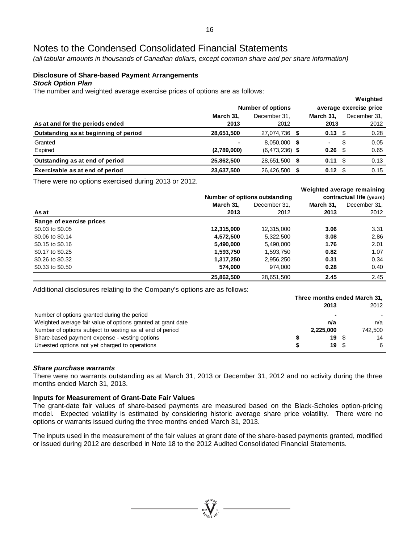*(all tabular amounts in thousands of Canadian dollars, except common share and per share information)*

#### **Disclosure of Share-based Payment Arrangements** *Stock Option Plan*

The number and weighted average exercise prices of options are as follows:

|                                       |             |                          |                    |   | Weighted               |
|---------------------------------------|-------------|--------------------------|--------------------|---|------------------------|
|                                       |             | <b>Number of options</b> |                    |   | average exercise price |
|                                       | March 31.   | December 31.             | March 31.          |   | December 31.           |
| As at and for the periods ended       | 2013        | 2012                     | 2013               |   | 2012                   |
| Outstanding as at beginning of period | 28,651,500  | 27,074,736 \$            | $0.13 \quad $$     |   | 0.28                   |
| Granted                               |             | 8,050,000 \$             | ۰.                 | S | 0.05                   |
| Expired                               | (2,789,000) | $(6,473,236)$ \$         | $0.26$ \$          |   | 0.65                   |
| Outstanding as at end of period       | 25,862,500  | 28,651,500               | $0.11 \text{ }$ \$ |   | 0.13                   |
| Exercisable as at end of period       | 23,637,500  | 26,426,500               | $0.12 \text{ }$ \$ |   | 0.15                   |

There were no options exercised during 2013 or 2012.

|                          |            |                               |           | Weighted average remaining |
|--------------------------|------------|-------------------------------|-----------|----------------------------|
|                          |            | Number of options outstanding |           | contractual life (years)   |
|                          | March 31,  | December 31.                  | March 31. | December 31.               |
| As at                    | 2013       | 2012                          | 2013      | 2012                       |
| Range of exercise prices |            |                               |           |                            |
| \$0.03 to \$0.05         | 12,315,000 | 12,315,000                    | 3.06      | 3.31                       |
| \$0.06 to \$0.14         | 4,572,500  | 5,322,500                     | 3.08      | 2.86                       |
| \$0.15 to \$0.16         | 5,490,000  | 5,490,000                     | 1.76      | 2.01                       |
| \$0.17 to \$0.25         | 1,593,750  | 1,593,750                     | 0.82      | 1.07                       |
| \$0.26 to \$0.32         | 1,317,250  | 2,956,250                     | 0.31      | 0.34                       |
| \$0.33 to \$0.50         | 574.000    | 974.000                       | 0.28      | 0.40                       |
|                          | 25,862,500 | 28,651,500                    | 2.45      | 2.45                       |

Additional disclosures relating to the Company's options are as follows:

|                                                              |           | Three months ended March 31, |
|--------------------------------------------------------------|-----------|------------------------------|
|                                                              | 2013      | 2012                         |
| Number of options granted during the period                  |           |                              |
| Weighted average fair value of options granted at grant date | n/a       | n/a                          |
| Number of options subject to vesting as at end of period     | 2,225,000 | 742.500                      |
| Share-based payment expense - vesting options                | 19 S      | 14                           |
| Unvested options not yet charged to operations               | 19 \$     | 6                            |

# *Share purchase warrants*

There were no warrants outstanding as at March 31, 2013 or December 31, 2012 and no activity during the three months ended March 31, 2013.

# **Inputs for Measurement of Grant-Date Fair Values**

The grant-date fair values of share-based payments are measured based on the Black-Scholes option-pricing model. Expected volatility is estimated by considering historic average share price volatility. There were no options or warrants issued during the three months ended March 31, 2013.

The inputs used in the measurement of the fair values at grant date of the share-based payments granted, modified or issued during 2012 are described in Note 18 to the 2012 Audited Consolidated Financial Statements.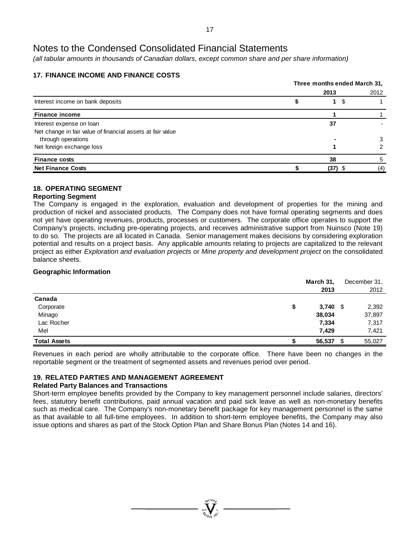*(all tabular amounts in thousands of Canadian dollars, except common share and per share information)*

# **17. FINANCE INCOME AND FINANCE COSTS**

|                                                            | Three months ended March 31, |        |      |  |
|------------------------------------------------------------|------------------------------|--------|------|--|
|                                                            |                              | 2013   | 2012 |  |
| Interest income on bank deposits                           |                              | - \$   |      |  |
| <b>Finance income</b>                                      |                              |        |      |  |
| Interest expense on loan                                   |                              | 37     |      |  |
| Net change in fair value of financial assets at fair value |                              |        |      |  |
| through operations                                         |                              |        |      |  |
| Net foreign exchange loss                                  |                              |        |      |  |
| <b>Finance costs</b>                                       |                              | 38     |      |  |
| <b>Net Finance Costs</b>                                   |                              | (37) S | (4)  |  |

# **18. OPERATING SEGMENT**

# **Reporting Segment**

The Company is engaged in the exploration, evaluation and development of properties for the mining and production of nickel and associated products. The Company does not have formal operating segments and does not yet have operating revenues, products, processes or customers. The corporate office operates to support the Company's projects, including pre-operating projects, and receives administrative support from Nuinsco (Note 19) to do so. The projects are all located in Canada. Senior management makes decisions by considering exploration potential and results on a project basis. Any applicable amounts relating to projects are capitalized to the relevant project as either *Exploration and evaluation projects* or *Mine property and development project* on the consolidated balance sheets.

# **Geographic Information**

|                     | March 31,        | December 31, |
|---------------------|------------------|--------------|
|                     | 2013             | 2012         |
| Canada              |                  |              |
| Corporate           | $3,740$ \$<br>\$ | 2,392        |
| Minago              | 38,034           | 37,897       |
| Lac Rocher          | 7,334            | 7,317        |
| Mel                 | 7,429            | 7,421        |
| <b>Total Assets</b> | 56,537           | \$<br>55,027 |

Revenues in each period are wholly attributable to the corporate office. There have been no changes in the reportable segment or the treatment of segmented assets and revenues period over period.

# **19. RELATED PARTIES AND MANAGEMENT AGREEMENT**

# **Related Party Balances and Transactions**

Short-term employee benefits provided by the Company to key management personnel include salaries, directors' fees, statutory benefit contributions, paid annual vacation and paid sick leave as well as non-monetary benefits such as medical care. The Company's non-monetary benefit package for key management personnel is the same as that available to all full-time employees. In addition to short-term employee benefits, the Company may also issue options and shares as part of the Stock Option Plan and Share Bonus Plan (Notes 14 and 16).

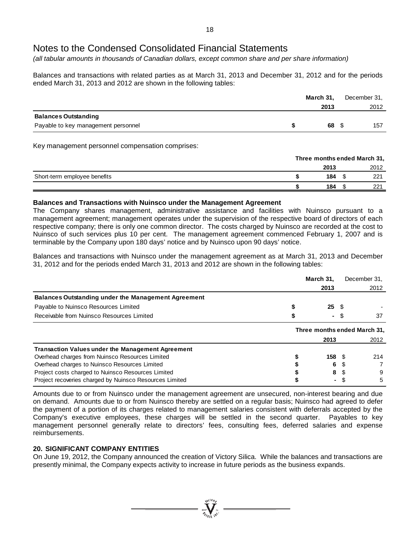*(all tabular amounts in thousands of Canadian dollars, except common share and per share information)*

Balances and transactions with related parties as at March 31, 2013 and December 31, 2012 and for the periods ended March 31, 2013 and 2012 are shown in the following tables:

|                                     | March 31, | December 31, |
|-------------------------------------|-----------|--------------|
|                                     | 2013      | 2012         |
| <b>Balances Outstanding</b>         |           |              |
| Payable to key management personnel | 68        | 157          |

Key management personnel compensation comprises:

|                              | Three months ended March 31, |  |      |  |
|------------------------------|------------------------------|--|------|--|
|                              | 2013                         |  | 2012 |  |
| Short-term employee benefits | 184                          |  | 221  |  |
|                              | 184                          |  | 221  |  |

# **Balances and Transactions with Nuinsco under the Management Agreement**

The Company shares management, administrative assistance and facilities with Nuinsco pursuant to a management agreement; management operates under the supervision of the respective board of directors of each respective company; there is only one common director. The costs charged by Nuinsco are recorded at the cost to Nuinsco of such services plus 10 per cent. The management agreement commenced February 1, 2007 and is terminable by the Company upon 180 days' notice and by Nuinsco upon 90 days' notice.

Balances and transactions with Nuinsco under the management agreement as at March 31, 2013 and December 31, 2012 and for the periods ended March 31, 2013 and 2012 are shown in the following tables:

|                                                            | March 31.                    |      | December 31, |  |  |
|------------------------------------------------------------|------------------------------|------|--------------|--|--|
|                                                            | 2013                         |      | 2012         |  |  |
| <b>Balances Outstanding under the Management Agreement</b> |                              |      |              |  |  |
| Payable to Nuinsco Resources Limited                       | 25                           | - 35 |              |  |  |
| Receivable from Nuinsco Resources Limited                  | $\blacksquare$               | \$.  | 37           |  |  |
|                                                            | Three months ended March 31, |      |              |  |  |
|                                                            | 2013                         |      | 2012         |  |  |
| <b>Transaction Values under the Management Agreement</b>   |                              |      |              |  |  |
| Overhead charges from Nuinsco Resources Limited            | 158 <sup>°</sup>             |      | 214          |  |  |
| Overhead charges to Nuinsco Resources Limited              | 6                            |      |              |  |  |
| Project costs charged to Nuinsco Resources Limited         | 8                            |      | 9            |  |  |
| Project recoveries charged by Nuinsco Resources Limited    | ٠                            |      | 5            |  |  |

Amounts due to or from Nuinsco under the management agreement are unsecured, non-interest bearing and due on demand. Amounts due to or from Nuinsco thereby are settled on a regular basis; Nuinsco had agreed to defer the payment of a portion of its charges related to management salaries consistent with deferrals accepted by the Company's executive employees, these charges will be settled in the second quarter. Payables to key management personnel generally relate to directors' fees, consulting fees, deferred salaries and expense reimbursements.

# **20. SIGNIFICANT COMPANY ENTITIES**

On June 19, 2012, the Company announced the creation of Victory Silica. While the balances and transactions are presently minimal, the Company expects activity to increase in future periods as the business expands.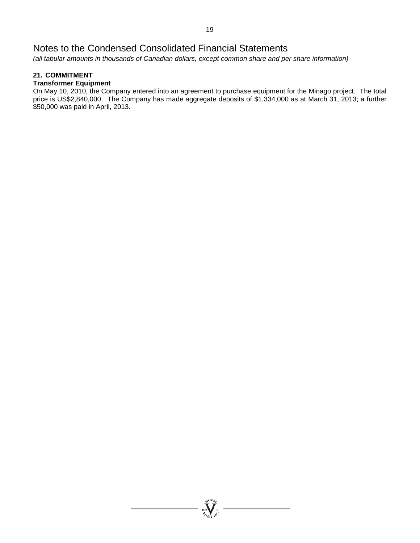*(all tabular amounts in thousands of Canadian dollars, except common share and per share information)*

# **21. COMMITMENT**

# **Transformer Equipment**

On May 10, 2010, the Company entered into an agreement to purchase equipment for the Minago project. The total price is US\$2,840,000. The Company has made aggregate deposits of \$1,334,000 as at March 31, 2013; a further \$50,000 was paid in April, 2013.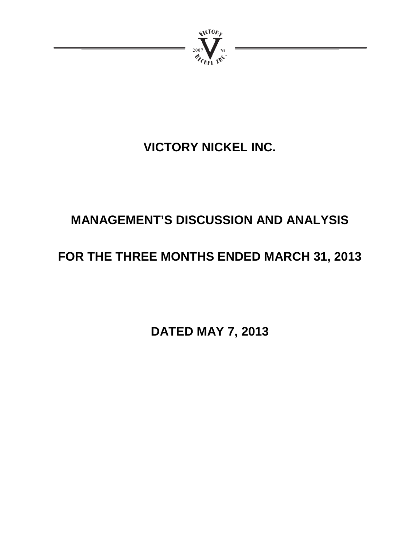

# **VICTORY NICKEL INC.**

# **MANAGEMENT'S DISCUSSION AND ANALYSIS**

# **FOR THE THREE MONTHS ENDED MARCH 31, 2013**

**DATED MAY 7, 2013**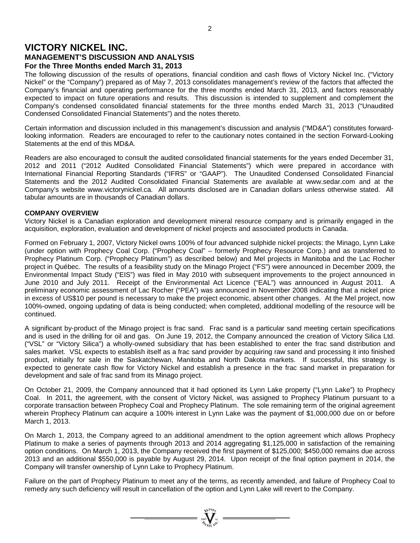# **VICTORY NICKEL INC. MANAGEMENT'S DISCUSSION AND ANALYSIS For the Three Months ended March 31, 2013**

The following discussion of the results of operations, financial condition and cash flows of Victory Nickel Inc. ("Victory Nickel" or the "Company") prepared as of May 7, 2013 consolidates management's review of the factors that affected the Company's financial and operating performance for the three months ended March 31, 2013, and factors reasonably expected to impact on future operations and results. This discussion is intended to supplement and complement the Company's condensed consolidated financial statements for the three months ended March 31, 2013 ("Unaudited Condensed Consolidated Financial Statements") and the notes thereto.

Certain information and discussion included in this management's discussion and analysis ("MD&A") constitutes forwardlooking information. Readers are encouraged to refer to the cautionary notes contained in the section Forward-Looking Statements at the end of this MD&A.

Readers are also encouraged to consult the audited consolidated financial statements for the years ended December 31, 2012 and 2011 ("2012 Audited Consolidated Financial Statements") which were prepared in accordance with International Financial Reporting Standards ("IFRS" or "GAAP"). The Unaudited Condensed Consolidated Financial Statements and the 2012 Audited Consolidated Financial Statements are available at www.sedar.com and at the Company's website www.victorynickel.ca. All amounts disclosed are in Canadian dollars unless otherwise stated. All tabular amounts are in thousands of Canadian dollars.

# **COMPANY OVERVIEW**

Victory Nickel is a Canadian exploration and development mineral resource company and is primarily engaged in the acquisition, exploration, evaluation and development of nickel projects and associated products in Canada.

Formed on February 1, 2007, Victory Nickel owns 100% of four advanced sulphide nickel projects: the Minago, Lynn Lake (under option with Prophecy Coal Corp. ("Prophecy Coal" – formerly Prophecy Resource Corp.) and as transferred to Prophecy Platinum Corp. ("Prophecy Platinum") as described below) and Mel projects in Manitoba and the Lac Rocher project in Québec. The results of a feasibility study on the Minago Project ("FS") were announced in December 2009, the Environmental Impact Study ("EIS") was filed in May 2010 with subsequent improvements to the project announced in June 2010 and July 2011. Receipt of the Environmental Act Licence ("EAL") was announced in August 2011. A preliminary economic assessment of Lac Rocher ("PEA") was announced in November 2008 indicating that a nickel price in excess of US\$10 per pound is necessary to make the project economic, absent other changes. At the Mel project, now 100%-owned, ongoing updating of data is being conducted; when completed, additional modelling of the resource will be continued.

A significant by-product of the Minago project is frac sand. Frac sand is a particular sand meeting certain specifications and is used in the drilling for oil and gas. On June 19, 2012, the Company announced the creation of Victory Silica Ltd. ("VSL" or "Victory Silica") a wholly-owned subsidiary that has been established to enter the frac sand distribution and sales market. VSL expects to establish itself as a frac sand provider by acquiring raw sand and processing it into finished product, initially for sale in the Saskatchewan, Manitoba and North Dakota markets. If successful, this strategy is expected to generate cash flow for Victory Nickel and establish a presence in the frac sand market in preparation for development and sale of frac sand from its Minago project.

On October 21, 2009, the Company announced that it had optioned its Lynn Lake property ("Lynn Lake") to Prophecy Coal. In 2011, the agreement, with the consent of Victory Nickel, was assigned to Prophecy Platinum pursuant to a corporate transaction between Prophecy Coal and Prophecy Platinum. The sole remaining term of the original agreement wherein Prophecy Platinum can acquire a 100% interest in Lynn Lake was the payment of \$1,000,000 due on or before March 1, 2013.

On March 1, 2013, the Company agreed to an additional amendment to the option agreement which allows Prophecy Platinum to make a series of payments through 2013 and 2014 aggregating \$1,125,000 in satisfaction of the remaining option conditions. On March 1, 2013, the Company received the first payment of \$125,000; \$450,000 remains due across 2013 and an additional \$550,000 is payable by August 29, 2014. Upon receipt of the final option payment in 2014, the Company will transfer ownership of Lynn Lake to Prophecy Platinum.

Failure on the part of Prophecy Platinum to meet any of the terms, as recently amended, and failure of Prophecy Coal to remedy any such deficiency will result in cancellation of the option and Lynn Lake will revert to the Company.

 $= \sum_{i=1}^{N_{\text{GLO},i}} \sum_{j=1}^{N_{\text{GLO},i}}$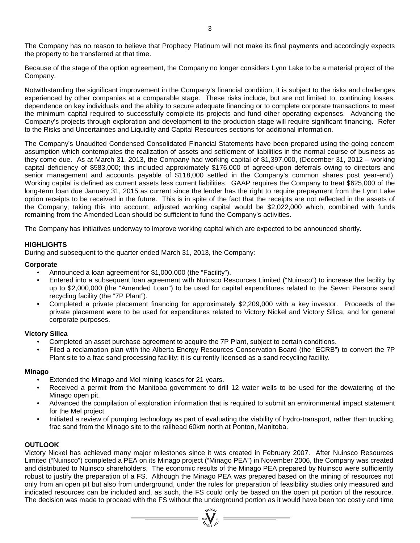The Company has no reason to believe that Prophecy Platinum will not make its final payments and accordingly expects the property to be transferred at that time.

Because of the stage of the option agreement, the Company no longer considers Lynn Lake to be a material project of the Company.

Notwithstanding the significant improvement in the Company's financial condition, it is subject to the risks and challenges experienced by other companies at a comparable stage. These risks include, but are not limited to, continuing losses, dependence on key individuals and the ability to secure adequate financing or to complete corporate transactions to meet the minimum capital required to successfully complete its projects and fund other operating expenses. Advancing the Company's projects through exploration and development to the production stage will require significant financing. Refer to the Risks and Uncertainties and Liquidity and Capital Resources sections for additional information.

The Company's Unaudited Condensed Consolidated Financial Statements have been prepared using the going concern assumption which contemplates the realization of assets and settlement of liabilities in the normal course of business as they come due. As at March 31, 2013, the Company had working capital of \$1,397,000, (December 31, 2012 – working capital deficiency of \$583,000; this included approximately \$176,000 of agreed-upon deferrals owing to directors and senior management and accounts payable of \$118,000 settled in the Company's common shares post year-end). Working capital is defined as current assets less current liabilities. GAAP requires the Company to treat \$625,000 of the long-term loan due January 31, 2015 as current since the lender has the right to require prepayment from the Lynn Lake option receipts to be received in the future. This is in spite of the fact that the receipts are not reflected in the assets of the Company; taking this into account, adjusted working capital would be \$2,022,000 which, combined with funds remaining from the Amended Loan should be sufficient to fund the Company's activities.

The Company has initiatives underway to improve working capital which are expected to be announced shortly.

# **HIGHLIGHTS**

During and subsequent to the quarter ended March 31, 2013, the Company:

# **Corporate**

- Announced a loan agreement for \$1,000,000 (the "Facility").
- Entered into a subsequent loan agreement with Nuinsco Resources Limited ("Nuinsco") to increase the facility by up to \$2,000,000 (the "Amended Loan") to be used for capital expenditures related to the Seven Persons sand recycling facility (the "7P Plant").
- Completed a private placement financing for approximately \$2,209,000 with a key investor. Proceeds of the private placement were to be used for expenditures related to Victory Nickel and Victory Silica, and for general corporate purposes.

# **Victory Silica**

- Completed an asset purchase agreement to acquire the 7P Plant, subject to certain conditions.
- Filed a reclamation plan with the Alberta Energy Resources Conservation Board (the "ECRB") to convert the 7P Plant site to a frac sand processing facility; it is currently licensed as a sand recycling facility.

# **Minago**

- Extended the Minago and Mel mining leases for 21 years.
- Received a permit from the Manitoba government to drill 12 water wells to be used for the dewatering of the Minago open pit.
- Advanced the compilation of exploration information that is required to submit an environmental impact statement for the Mel project.
- Initiated a review of pumping technology as part of evaluating the viability of hydro-transport, rather than trucking, frac sand from the Minago site to the railhead 60km north at Ponton, Manitoba.

# **OUTLOOK**

Victory Nickel has achieved many major milestones since it was created in February 2007. After Nuinsco Resources Limited ("Nuinsco") completed a PEA on its Minago project ("Minago PEA") in November 2006, the Company was created and distributed to Nuinsco shareholders. The economic results of the Minago PEA prepared by Nuinsco were sufficiently robust to justify the preparation of a FS. Although the Minago PEA was prepared based on the mining of resources not only from an open pit but also from underground, under the rules for preparation of feasibility studies only measured and indicated resources can be included and, as such, the FS could only be based on the open pit portion of the resource. The decision was made to proceed with the FS without the underground portion as it would have been too costly and time

 $=\sum_{\alpha}$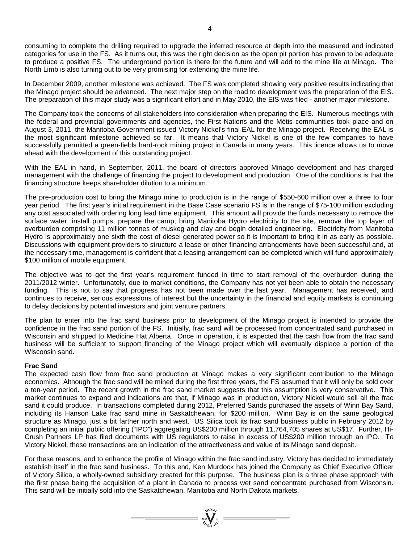consuming to complete the drilling required to upgrade the inferred resource at depth into the measured and indicated categories for use in the FS. As it turns out, this was the right decision as the open pit portion has proven to be adequate to produce a positive FS. The underground portion is there for the future and will add to the mine life at Minago. The North Limb is also turning out to be very promising for extending the mine life.

In December 2009, another milestone was achieved. The FS was completed showing very positive results indicating that the Minago project should be advanced. The next major step on the road to development was the preparation of the EIS. The preparation of this major study was a significant effort and in May 2010, the EIS was filed - another major milestone.

The Company took the concerns of all stakeholders into consideration when preparing the EIS. Numerous meetings with the federal and provincial governments and agencies, the First Nations and the Métis communities took place and on August 3, 2011, the Manitoba Government issued Victory Nickel's final EAL for the Minago project. Receiving the EAL is the most significant milestone achieved so far. It means that Victory Nickel is one of the few companies to have successfully permitted a green-fields hard-rock mining project in Canada in many years. This licence allows us to move ahead with the development of this outstanding project.

With the EAL in hand, in September, 2011, the board of directors approved Minago development and has charged management with the challenge of financing the project to development and production. One of the conditions is that the financing structure keeps shareholder dilution to a minimum.

The pre-production cost to bring the Minago mine to production is in the range of \$550-600 million over a three to four year period. The first year's initial requirement in the Base Case scenario FS is in the range of \$75-100 million excluding any cost associated with ordering long lead time equipment. This amount will provide the funds necessary to remove the surface water, install pumps, prepare the camp, bring Manitoba Hydro electricity to the site, remove the top layer of overburden comprising 11 million tonnes of muskeg and clay and begin detailed engineering. Electricity from Manitoba Hydro is approximately one sixth the cost of diesel generated power so it is important to bring it in as early as possible. Discussions with equipment providers to structure a lease or other financing arrangements have been successful and, at the necessary time, management is confident that a leasing arrangement can be completed which will fund approximately \$100 million of mobile equipment.

The objective was to get the first year's requirement funded in time to start removal of the overburden during the 2011/2012 winter. Unfortunately, due to market conditions, the Company has not yet been able to obtain the necessary funding. This is not to say that progress has not been made over the last year. Management has received, and continues to receive, serious expressions of interest but the uncertainty in the financial and equity markets is continuing to delay decisions by potential investors and joint venture partners.

The plan to enter into the frac sand business prior to development of the Minago project is intended to provide the confidence in the frac sand portion of the FS. Initially, frac sand will be processed from concentrated sand purchased in Wisconsin and shipped to Medicine Hat Alberta. Once in operation, it is expected that the cash flow from the frac sand business will be sufficient to support financing of the Minago project which will eventually displace a portion of the Wisconsin sand.

# **Frac Sand**

The expected cash flow from frac sand production at Minago makes a very significant contribution to the Minago economics. Although the frac sand will be mined during the first three years, the FS assumed that it will only be sold over a ten-year period. The recent growth in the frac sand market suggests that this assumption is very conservative. This market continues to expand and indications are that, if Minago was in production, Victory Nickel would sell all the frac sand it could produce. In transactions completed during 2012, Preferred Sands purchased the assets of Winn Bay Sand, including its Hanson Lake frac sand mine in Saskatchewan, for \$200 million. Winn Bay is on the same geological structure as Minago, just a bit farther north and west. US Silica took its frac sand business public in February 2012 by completing an initial public offering ("IPO") aggregating US\$200 million through 11,764,705 shares at US\$17. Further, Hi-Crush Partners LP has filed documents with US regulators to raise in excess of US\$200 million through an IPO. To Victory Nickel, these transactions are an indication of the attractiveness and value of its Minago sand deposit.

For these reasons, and to enhance the profile of Minago within the frac sand industry, Victory has decided to immediately establish itself in the frac sand business. To this end, Ken Murdock has joined the Company as Chief Executive Officer of Victory Silica, a wholly-owned subsidiary created for this purpose. The business plan is a three phase approach with the first phase being the acquisition of a plant in Canada to process wet sand concentrate purchased from Wisconsin. This sand will be initially sold into the Saskatchewan, Manitoba and North Dakota markets.

=  $\sum_{\substack{i=1\\ i\neq j}}^{\infty} \sum_{\substack{i=1\\ i\neq j}}^{\infty}$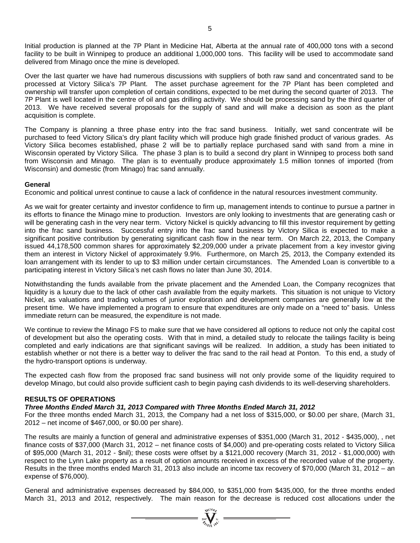Initial production is planned at the 7P Plant in Medicine Hat, Alberta at the annual rate of 400,000 tons with a second facility to be built in Winnipeg to produce an additional 1,000,000 tons. This facility will be used to accommodate sand delivered from Minago once the mine is developed.

Over the last quarter we have had numerous discussions with suppliers of both raw sand and concentrated sand to be processed at Victory Silica's 7P Plant. The asset purchase agreement for the 7P Plant has been completed and ownership will transfer upon completion of certain conditions, expected to be met during the second quarter of 2013. The 7P Plant is well located in the centre of oil and gas drilling activity. We should be processing sand by the third quarter of 2013. We have received several proposals for the supply of sand and will make a decision as soon as the plant acquisition is complete.

The Company is planning a three phase entry into the frac sand business. Initially, wet sand concentrate will be purchased to feed Victory Silica's dry plant facility which will produce high grade finished product of various grades. As Victory Silica becomes established, phase 2 will be to partially replace purchased sand with sand from a mine in Wisconsin operated by Victory Silica. The phase 3 plan is to build a second dry plant in Winnipeg to process both sand from Wisconsin and Minago. The plan is to eventually produce approximately 1.5 million tonnes of imported (from Wisconsin) and domestic (from Minago) frac sand annually.

# **General**

Economic and political unrest continue to cause a lack of confidence in the natural resources investment community.

As we wait for greater certainty and investor confidence to firm up, management intends to continue to pursue a partner in its efforts to finance the Minago mine to production. Investors are only looking to investments that are generating cash or will be generating cash in the very near term. Victory Nickel is quickly advancing to fill this investor requirement by getting into the frac sand business. Successful entry into the frac sand business by Victory Silica is expected to make a significant positive contribution by generating significant cash flow in the near term. On March 22, 2013, the Company issued 44,178,500 common shares for approximately \$2,209,000 under a private placement from a key investor giving them an interest in Victory Nickel of approximately 9.9%. Furthermore, on March 25, 2013, the Company extended its loan arrangement with its lender to up to \$3 million under certain circumstances. The Amended Loan is convertible to a participating interest in Victory Silica's net cash flows no later than June 30, 2014.

Notwithstanding the funds available from the private placement and the Amended Loan, the Company recognizes that liquidity is a luxury due to the lack of other cash available from the equity markets. This situation is not unique to Victory Nickel, as valuations and trading volumes of junior exploration and development companies are generally low at the present time. We have implemented a program to ensure that expenditures are only made on a "need to" basis. Unless immediate return can be measured, the expenditure is not made.

We continue to review the Minago FS to make sure that we have considered all options to reduce not only the capital cost of development but also the operating costs. With that in mind, a detailed study to relocate the tailings facility is being completed and early indications are that significant savings will be realized. In addition, a study has been initiated to establish whether or not there is a better way to deliver the frac sand to the rail head at Ponton. To this end, a study of the hydro-transport options is underway.

The expected cash flow from the proposed frac sand business will not only provide some of the liquidity required to develop Minago, but could also provide sufficient cash to begin paying cash dividends to its well-deserving shareholders.

# **RESULTS OF OPERATIONS**

#### *Three Months Ended March 31, 2013 Compared with Three Months Ended March 31, 2012*

For the three months ended March 31, 2013, the Company had a net loss of \$315,000, or \$0.00 per share, (March 31, 2012 – net income of \$467,000, or \$0.00 per share).

The results are mainly a function of general and administrative expenses of \$351,000 (March 31, 2012 - \$435,000), , net finance costs of \$37,000 (March 31, 2012 – net finance costs of \$4,000) and pre-operating costs related to Victory Silica of \$95,000 (March 31, 2012 - \$nil); these costs were offset by a \$121,000 recovery (March 31, 2012 - \$1,000,000) with respect to the Lynn Lake property as a result of option amounts received in excess of the recorded value of the property. Results in the three months ended March 31, 2013 also include an income tax recovery of \$70,000 (March 31, 2012 – an expense of \$76,000).

General and administrative expenses decreased by \$84,000, to \$351,000 from \$435,000, for the three months ended March 31, 2013 and 2012, respectively. The main reason for the decrease is reduced cost allocations under the

 $\sum_{\substack{i=1\\ \text{with } i\in I}}^{\text{NLOP}}\sum_{\substack{i=1\\ \text{with } i\in I}}^{\text{NLOP}}$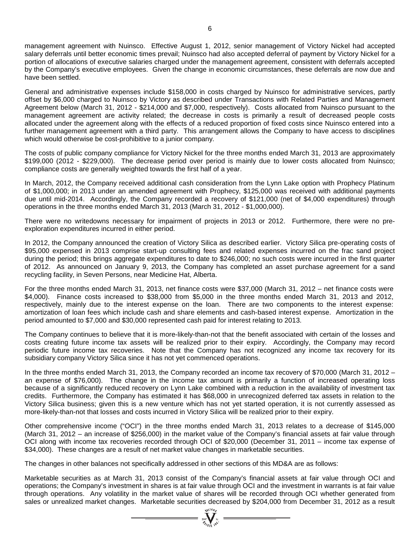management agreement with Nuinsco. Effective August 1, 2012, senior management of Victory Nickel had accepted salary deferrals until better economic times prevail; Nuinsco had also accepted deferral of payment by Victory Nickel for a portion of allocations of executive salaries charged under the management agreement, consistent with deferrals accepted by the Company's executive employees. Given the change in economic circumstances, these deferrals are now due and have been settled.

General and administrative expenses include \$158,000 in costs charged by Nuinsco for administrative services, partly offset by \$6,000 charged to Nuinsco by Victory as described under Transactions with Related Parties and Management Agreement below (March 31, 2012 - \$214,000 and \$7,000, respectively). Costs allocated from Nuinsco pursuant to the management agreement are activity related; the decrease in costs is primarily a result of decreased people costs allocated under the agreement along with the effects of a reduced proportion of fixed costs since Nuinsco entered into a further management agreement with a third party. This arrangement allows the Company to have access to disciplines which would otherwise be cost-prohibitive to a junior company.

The costs of public company compliance for Victory Nickel for the three months ended March 31, 2013 are approximately \$199,000 (2012 - \$229,000). The decrease period over period is mainly due to lower costs allocated from Nuinsco; compliance costs are generally weighted towards the first half of a year.

In March, 2012, the Company received additional cash consideration from the Lynn Lake option with Prophecy Platinum of \$1,000,000; in 2013 under an amended agreement with Prophecy, \$125,000 was received with additional payments due until mid-2014. Accordingly, the Company recorded a recovery of \$121,000 (net of \$4,000 expenditures) through operations in the three months ended March 31, 2013 (March 31, 2012 - \$1,000,000).

There were no writedowns necessary for impairment of projects in 2013 or 2012. Furthermore, there were no preexploration expenditures incurred in either period.

In 2012, the Company announced the creation of Victory Silica as described earlier. Victory Silica pre-operating costs of \$95,000 expensed in 2013 comprise start-up consulting fees and related expenses incurred on the frac sand project during the period; this brings aggregate expenditures to date to \$246,000; no such costs were incurred in the first quarter of 2012. As announced on January 9, 2013, the Company has completed an asset purchase agreement for a sand recycling facility, in Seven Persons, near Medicine Hat, Alberta.

For the three months ended March 31, 2013, net finance costs were \$37,000 (March 31, 2012 – net finance costs were \$4,000). Finance costs increased to \$38,000 from \$5,000 in the three months ended March 31, 2013 and 2012, respectively, mainly due to the interest expense on the loan. There are two components to the interest expense: amortization of loan fees which include cash and share elements and cash-based interest expense. Amortization in the period amounted to \$7,000 and \$30,000 represented cash paid for interest relating to 2013.

The Company continues to believe that it is more-likely-than-not that the benefit associated with certain of the losses and costs creating future income tax assets will be realized prior to their expiry. Accordingly, the Company may record periodic future income tax recoveries. Note that the Company has not recognized any income tax recovery for its subsidiary company Victory Silica since it has not yet commenced operations.

In the three months ended March 31, 2013, the Company recorded an income tax recovery of \$70,000 (March 31, 2012 – an expense of \$76,000). The change in the income tax amount is primarily a function of increased operating loss because of a significantly reduced recovery on Lynn Lake combined with a reduction in the availability of investment tax credits. Furthermore, the Company has estimated it has \$68,000 in unrecognized deferred tax assets in relation to the Victory Silica business; given this is a new venture which has not yet started operation, it is not currently assessed as more-likely-than-not that losses and costs incurred in Victory Silica will be realized prior to their expiry.

Other comprehensive income ("OCI") in the three months ended March 31, 2013 relates to a decrease of \$145,000 (March 31, 2012 – an increase of \$256,000) in the market value of the Company's financial assets at fair value through OCI along with income tax recoveries recorded through OCI of \$20,000 (December 31, 2011 – income tax expense of \$34,000). These changes are a result of net market value changes in marketable securities.

The changes in other balances not specifically addressed in other sections of this MD&A are as follows:

Marketable securities as at March 31, 2013 consist of the Company's financial assets at fair value through OCI and operations; the Company's investment in shares is at fair value through OCI and the investment in warrants is at fair value through operations. Any volatility in the market value of shares will be recorded through OCI whether generated from sales or unrealized market changes. Marketable securities decreased by \$204,000 from December 31, 2012 as a result

 $\sum_{\alpha_{\alpha}}$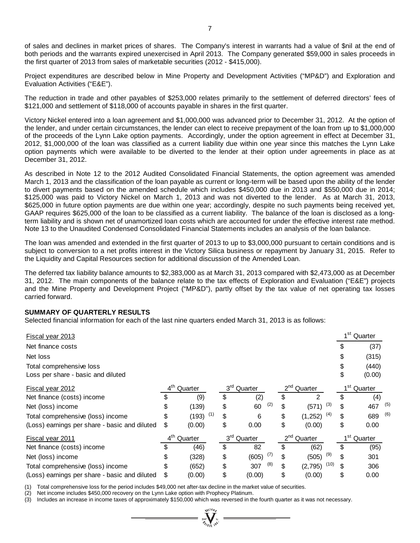of sales and declines in market prices of shares. The Company's interest in warrants had a value of \$nil at the end of both periods and the warrants expired unexercised in April 2013. The Company generated \$59,000 in sales proceeds in the first quarter of 2013 from sales of marketable securities (2012 - \$415,000).

Project expenditures are described below in Mine Property and Development Activities ("MP&D") and Exploration and Evaluation Activities ("E&E").

The reduction in trade and other payables of \$253,000 relates primarily to the settlement of deferred directors' fees of \$121,000 and settlement of \$118,000 of accounts payable in shares in the first quarter.

Victory Nickel entered into a loan agreement and \$1,000,000 was advanced prior to December 31, 2012. At the option of the lender, and under certain circumstances, the lender can elect to receive prepayment of the loan from up to \$1,000,000 of the proceeds of the Lynn Lake option payments. Accordingly, under the option agreement in effect at December 31, 2012, \$1,000,000 of the loan was classified as a current liability due within one year since this matches the Lynn Lake option payments which were available to be diverted to the lender at their option under agreements in place as at December 31, 2012.

As described in Note 12 to the 2012 Audited Consolidated Financial Statements, the option agreement was amended March 1, 2013 and the classification of the loan payable as current or long-term will be based upon the ability of the lender to divert payments based on the amended schedule which includes \$450,000 due in 2013 and \$550,000 due in 2014; \$125,000 was paid to Victory Nickel on March 1, 2013 and was not diverted to the lender. As at March 31, 2013, \$625,000 in future option payments are due within one year; accordingly, despite no such payments being received yet, GAAP requires \$625,000 of the loan to be classified as a current liability. The balance of the loan is disclosed as a longterm liability and is shown net of unamortized loan costs which are accounted for under the effective interest rate method. Note 13 to the Unaudited Condensed Consolidated Financial Statements includes an analysis of the loan balance.

The loan was amended and extended in the first quarter of 2013 to up to \$3,000,000 pursuant to certain conditions and is subject to conversion to a net profits interest in the Victory Silica business or repayment by January 31, 2015. Refer to the Liquidity and Capital Resources section for additional discussion of the Amended Loan.

The deferred tax liability balance amounts to \$2,383,000 as at March 31, 2013 compared with \$2,473,000 as at December 31, 2012. The main components of the balance relate to the tax effects of Exploration and Evaluation ("E&E") projects and the Mine Property and Development Project ("MP&D"), partly offset by the tax value of net operating tax losses carried forward.

# **SUMMARY OF QUARTERLY RESULTS**

Selected financial information for each of the last nine quarters ended March 31, 2013 is as follows:

|              |                                                              |              |                                    |                |                      |                           | 1 <sup>st</sup> Quarter |
|--------------|--------------------------------------------------------------|--------------|------------------------------------|----------------|----------------------|---------------------------|-------------------------|
|              |                                                              |              |                                    |                |                      | S                         | (37)                    |
|              |                                                              |              |                                    |                |                      | \$                        | (315)                   |
|              |                                                              |              |                                    |                |                      | \$                        | (440)                   |
|              |                                                              |              |                                    |                |                      | \$                        | (0.00)                  |
| Quarter      |                                                              | Quarter      |                                    | Quarter        |                      | 1 <sup>st</sup>           | Quarter                 |
| \$<br>(9)    | \$                                                           | (2)          | \$                                 | $\overline{2}$ |                      | \$                        | (4)                     |
| \$<br>(139)  | \$                                                           | (2)<br>60    | \$                                 | (571)          |                      | \$                        | (5)<br>467              |
| \$           | \$                                                           | 6            | \$                                 | (1, 252)       |                      | \$                        | (6)<br>689              |
| \$<br>(0.00) | \$                                                           | 0.00         | \$                                 | (0.00)         |                      | \$                        | 0.00                    |
| Quarter      |                                                              | Quarter      |                                    | Quarter        |                      |                           | Quarter                 |
| (46)         | \$                                                           | 82           | \$                                 | (62)           |                      | \$                        | (95)                    |
| \$<br>(328)  | \$                                                           | (7)<br>(605) | \$                                 | (505)          |                      | \$                        | 301                     |
| \$<br>(652)  | \$                                                           | (8)<br>307   | \$                                 | (2,795)        |                      | \$                        | 306                     |
| \$<br>(0.00) | \$                                                           | (0.00)       | \$                                 | (0.00)         |                      | \$                        | 0.00                    |
|              | $4^{\text{th}}$<br>$(193)$ <sup>(1)</sup><br>4 <sup>th</sup> |              | 3 <sup>rd</sup><br>3 <sup>rd</sup> |                | $2^{nd}$<br>$2^{nd}$ | (3)<br>(4)<br>(9)<br>(10) | 1 <sup>st</sup>         |

(1) Total comprehensive loss for the period includes \$49,000 net after-tax decline in the market value of securities.

(2) Net income includes \$450,000 recovery on the Lynn Lake option with Prophecy Platinum.

(3) Includes an increase in income taxes of approximately \$150,000 which was reversed in the fourth quarter as it was not necessary.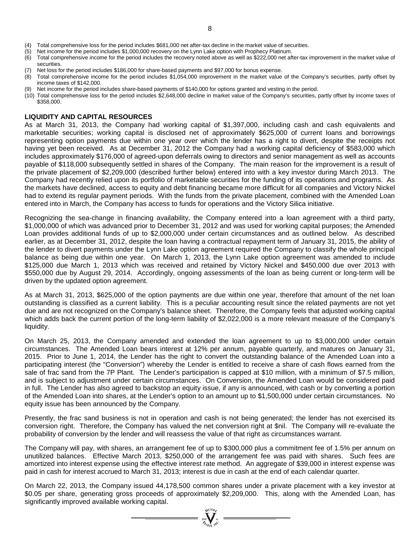- (4) Total comprehensive loss for the period includes \$681,000 net after-tax decline in the market value of securities.
- (5) Net income for the period includes \$1,000,000 recovery on the Lynn Lake option with Prophecy Platinum.
- (6) Total comprehensive income for the period includes the recovery noted above as well as \$222,000 net after-tax improvement in the market value of securities.
- (7) Net loss for the period includes \$186,000 for share-based payments and \$97,000 for bonus expense.
- (8) Total comprehensive income for the period includes \$1,054,000 improvement in the market value of the Company's securities, partly offset by income taxes of \$142,000.
- (9) Net income for the period includes share-based payments of \$140,000 for options granted and vesting in the period.
- (10) Total comprehensive loss for the period includes \$2,648,000 decline in market value of the Company's securities, partly offset by income taxes of \$358,000.

#### **LIQUIDITY AND CAPITAL RESOURCES**

As at March 31, 2013, the Company had working capital of \$1,397,000, including cash and cash equivalents and marketable securities; working capital is disclosed net of approximately \$625,000 of current loans and borrowings representing option payments due within one year over which the lender has a right to divert, despite the receipts not having yet been received. As at December 31, 2012 the Company had a working capital deficiency of \$583,000 which includes approximately \$176,000 of agreed-upon deferrals owing to directors and senior management as well as accounts payable of \$118,000 subsequently settled in shares of the Company. The main reason for the improvement is a result of the private placement of \$2,209,000 (described further below) entered into with a key investor during March 2013. The Company had recently relied upon its portfolio of marketable securities for the funding of its operations and programs. As the markets have declined, access to equity and debt financing became more difficult for all companies and Victory Nickel had to extend its regular payment periods. With the funds from the private placement, combined with the Amended Loan entered into in March, the Company has access to funds for operations and the Victory Silica initiative.

Recognizing the sea-change in financing availability, the Company entered into a loan agreement with a third party, \$1,000,000 of which was advanced prior to December 31, 2012 and was used for working capital purposes; the Amended Loan provides additional funds of up to \$2,000,000 under certain circumstances and as outlined below. As described earlier, as at December 31, 2012, despite the loan having a contractual repayment term of January 31, 2015, the ability of the lender to divert payments under the Lynn Lake option agreement required the Company to classify the whole principal balance as being due within one year. On March 1, 2013, the Lynn Lake option agreement was amended to include \$125,000 due March 1, 2013 which was received and retained by Victory Nickel and \$450,000 due over 2013 with \$550,000 due by August 29, 2014. Accordingly, ongoing assessments of the loan as being current or long-term will be driven by the updated option agreement.

As at March 31, 2013, \$625,000 of the option payments are due within one year, therefore that amount of the net loan outstanding is classified as a current liability. This is a peculiar accounting result since the related payments are not yet due and are not recognized on the Company's balance sheet. Therefore, the Company feels that adjusted working capital which adds back the current portion of the long-term liability of \$2,022,000 is a more relevant measure of the Company's liquidity.

On March 25, 2013, the Company amended and extended the loan agreement to up to \$3,000,000 under certain circumstances. The Amended Loan bears interest at 12% per annum, payable quarterly, and matures on January 31, 2015. Prior to June 1, 2014, the Lender has the right to convert the outstanding balance of the Amended Loan into a participating interest (the "Conversion") whereby the Lender is entitled to receive a share of cash flows earned from the sale of frac sand from the 7P Plant. The Lender's participation is capped at \$10 million, with a minimum of \$7.5 million, and is subject to adjustment under certain circumstances. On Conversion, the Amended Loan would be considered paid in full. The Lender has also agreed to backstop an equity issue, if any is announced, with cash or by converting a portion of the Amended Loan into shares, at the Lender's option to an amount up to \$1,500,000 under certain circumstances. No equity issue has been announced by the Company.

Presently, the frac sand business is not in operation and cash is not being generated; the lender has not exercised its conversion right. Therefore, the Company has valued the net conversion right at \$nil. The Company will re-evaluate the probability of conversion by the lender and will reassess the value of that right as circumstances warrant.

The Company will pay, with shares, an arrangement fee of up to \$300,000 plus a commitment fee of 1.5% per annum on unutilized balances. Effective March 2013, \$250,000 of the arrangement fee was paid with shares. Such fees are amortized into interest expense using the effective interest rate method. An aggregate of \$39,000 in interest expense was paid in cash for interest accrued to March 31, 2013; interest is due in cash at the end of each calendar quarter.

On March 22, 2013, the Company issued 44,178,500 common shares under a private placement with a key investor at \$0.05 per share, generating gross proceeds of approximately \$2,209,000. This, along with the Amended Loan, has significantly improved available working capital.

=  $\sum_{\nu \in \mathcal{N}}^{\nu \in \mathcal{N}(D_{\rho})}$  =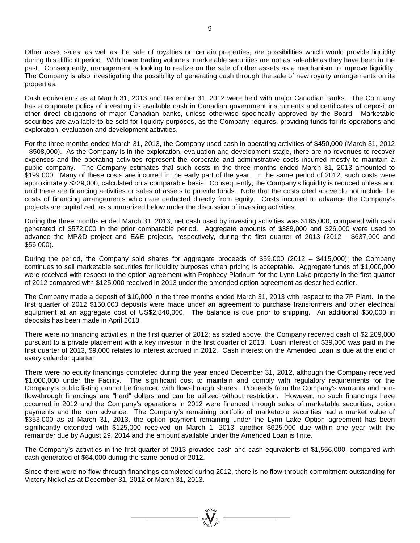Other asset sales, as well as the sale of royalties on certain properties, are possibilities which would provide liquidity during this difficult period. With lower trading volumes, marketable securities are not as saleable as they have been in the past. Consequently, management is looking to realize on the sale of other assets as a mechanism to improve liquidity. The Company is also investigating the possibility of generating cash through the sale of new royalty arrangements on its properties.

Cash equivalents as at March 31, 2013 and December 31, 2012 were held with major Canadian banks. The Company has a corporate policy of investing its available cash in Canadian government instruments and certificates of deposit or other direct obligations of major Canadian banks, unless otherwise specifically approved by the Board. Marketable securities are available to be sold for liquidity purposes, as the Company requires, providing funds for its operations and exploration, evaluation and development activities.

For the three months ended March 31, 2013, the Company used cash in operating activities of \$450,000 (March 31, 2012 - \$508,000). As the Company is in the exploration, evaluation and development stage, there are no revenues to recover expenses and the operating activities represent the corporate and administrative costs incurred mostly to maintain a public company. The Company estimates that such costs in the three months ended March 31, 2013 amounted to \$199,000. Many of these costs are incurred in the early part of the year. In the same period of 2012, such costs were approximately \$229,000, calculated on a comparable basis. Consequently, the Company's liquidity is reduced unless and until there are financing activities or sales of assets to provide funds. Note that the costs cited above do not include the costs of financing arrangements which are deducted directly from equity. Costs incurred to advance the Company's projects are capitalized, as summarized below under the discussion of investing activities.

During the three months ended March 31, 2013, net cash used by investing activities was \$185,000, compared with cash generated of \$572,000 in the prior comparable period. Aggregate amounts of \$389,000 and \$26,000 were used to advance the MP&D project and E&E projects, respectively, during the first quarter of 2013 (2012 - \$637,000 and \$56,000).

During the period, the Company sold shares for aggregate proceeds of \$59,000 (2012 – \$415,000); the Company continues to sell marketable securities for liquidity purposes when pricing is acceptable. Aggregate funds of \$1,000,000 were received with respect to the option agreement with Prophecy Platinum for the Lynn Lake property in the first quarter of 2012 compared with \$125,000 received in 2013 under the amended option agreement as described earlier.

The Company made a deposit of \$10,000 in the three months ended March 31, 2013 with respect to the 7P Plant. In the first quarter of 2012 \$150,000 deposits were made under an agreement to purchase transformers and other electrical equipment at an aggregate cost of US\$2,840,000. The balance is due prior to shipping. An additional \$50,000 in deposits has been made in April 2013.

There were no financing activities in the first quarter of 2012; as stated above, the Company received cash of \$2,209,000 pursuant to a private placement with a key investor in the first quarter of 2013. Loan interest of \$39,000 was paid in the first quarter of 2013, \$9,000 relates to interest accrued in 2012. Cash interest on the Amended Loan is due at the end of every calendar quarter.

There were no equity financings completed during the year ended December 31, 2012, although the Company received \$1,000,000 under the Facility. The significant cost to maintain and comply with regulatory requirements for the Company's public listing cannot be financed with flow-through shares. Proceeds from the Company's warrants and nonflow-through financings are "hard" dollars and can be utilized without restriction. However, no such financings have occurred in 2012 and the Company's operations in 2012 were financed through sales of marketable securities, option payments and the loan advance. The Company's remaining portfolio of marketable securities had a market value of \$353,000 as at March 31, 2013, the option payment remaining under the Lynn Lake Option agreement has been significantly extended with \$125,000 received on March 1, 2013, another \$625,000 due within one year with the remainder due by August 29, 2014 and the amount available under the Amended Loan is finite.

The Company's activities in the first quarter of 2013 provided cash and cash equivalents of \$1,556,000, compared with cash generated of \$64,000 during the same period of 2012.

Since there were no flow-through financings completed during 2012, there is no flow-through commitment outstanding for Victory Nickel as at December 31, 2012 or March 31, 2013.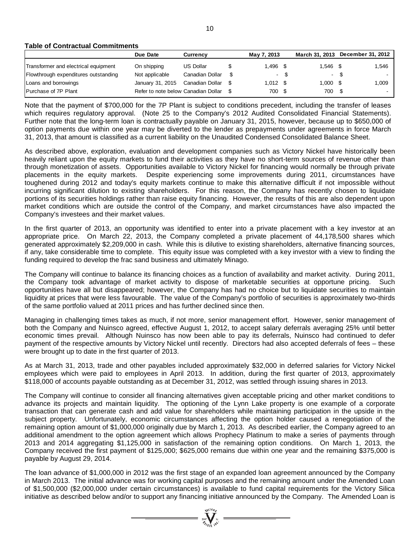**Table of Contractual Commitments**

|                                      | Due Date                            | Currency         | May 7, 2013 |      | March 31, 2013  |      | December 31, 2012 |
|--------------------------------------|-------------------------------------|------------------|-------------|------|-----------------|------|-------------------|
| Transformer and electrical equipment | On shipping                         | <b>US Dollar</b> | 1.496 \$    |      | $1.546$ \$      |      | 1,546             |
| Flowthrough expenditures outstanding | Not applicable                      | Canadian Dollar  | $\sim 100$  | - \$ | $\sim$          | - \$ |                   |
| Loans and borrowings                 | January 31, 2015                    | Canadian Dollar  | $1.012$ \$  |      | $1.000 \quad $$ |      | 1,009             |
| Purchase of 7P Plant                 | Refer to note below Canadian Dollar |                  | 700 \$      |      | 700 \$          |      |                   |

Note that the payment of \$700,000 for the 7P Plant is subject to conditions precedent, including the transfer of leases which requires regulatory approval. (Note 25 to the Company's 2012 Audited Consolidated Financial Statements). Further note that the long-term loan is contractually payable on January 31, 2015, however, because up to \$650,000 of option payments due within one year may be diverted to the lender as prepayments under agreements in force March 31, 2013, that amount is classified as a current liability on the Unaudited Condensed Consolidated Balance Sheet.

As described above, exploration, evaluation and development companies such as Victory Nickel have historically been heavily reliant upon the equity markets to fund their activities as they have no short-term sources of revenue other than through monetization of assets. Opportunities available to Victory Nickel for financing would normally be through private placements in the equity markets. Despite experiencing some improvements during 2011, circumstances have toughened during 2012 and today's equity markets continue to make this alternative difficult if not impossible without incurring significant dilution to existing shareholders. For this reason, the Company has recently chosen to liquidate portions of its securities holdings rather than raise equity financing. However, the results of this are also dependent upon market conditions which are outside the control of the Company, and market circumstances have also impacted the Company's investees and their market values.

In the first quarter of 2013, an opportunity was identified to enter into a private placement with a key investor at an appropriate price. On March 22, 2013, the Company completed a private placement of 44,178,500 shares which generated approximately \$2,209,000 in cash. While this is dilutive to existing shareholders, alternative financing sources, if any, take considerable time to complete. This equity issue was completed with a key investor with a view to finding the funding required to develop the frac sand business and ultimately Minago.

The Company will continue to balance its financing choices as a function of availability and market activity. During 2011, the Company took advantage of market activity to dispose of marketable securities at opportune pricing. Such opportunities have all but disappeared; however, the Company has had no choice but to liquidate securities to maintain liquidity at prices that were less favourable. The value of the Company's portfolio of securities is approximately two-thirds of the same portfolio valued at 2011 prices and has further declined since then.

Managing in challenging times takes as much, if not more, senior management effort. However, senior management of both the Company and Nuinsco agreed, effective August 1, 2012, to accept salary deferrals averaging 25% until better economic times prevail. Although Nuinsco has now been able to pay its deferrals, Nuinsco had continued to defer payment of the respective amounts by Victory Nickel until recently. Directors had also accepted deferrals of fees – these were brought up to date in the first quarter of 2013.

As at March 31, 2013, trade and other payables included approximately \$32,000 in deferred salaries for Victory Nickel employees which were paid to employees in April 2013. In addition, during the first quarter of 2013, approximately \$118,000 of accounts payable outstanding as at December 31, 2012, was settled through issuing shares in 2013.

The Company will continue to consider all financing alternatives given acceptable pricing and other market conditions to advance its projects and maintain liquidity. The optioning of the Lynn Lake property is one example of a corporate transaction that can generate cash and add value for shareholders while maintaining participation in the upside in the subject property. Unfortunately, economic circumstances affecting the option holder caused a renegotiation of the remaining option amount of \$1,000,000 originally due by March 1, 2013. As described earlier, the Company agreed to an additional amendment to the option agreement which allows Prophecy Platinum to make a series of payments through 2013 and 2014 aggregating \$1,125,000 in satisfaction of the remaining option conditions. On March 1, 2013, the Company received the first payment of \$125,000; \$625,000 remains due within one year and the remaining \$375,000 is payable by August 29, 2014.

The loan advance of \$1,000,000 in 2012 was the first stage of an expanded loan agreement announced by the Company in March 2013. The initial advance was for working capital purposes and the remaining amount under the Amended Loan of \$1,500,000 (\$2,000,000 under certain circumstances) is available to fund capital requirements for the Victory Silica initiative as described below and/or to support any financing initiative announced by the Company. The Amended Loan is

 $= \sum_{\substack{i=1\\ i\neq j}}^{q_i(10j)_{ji}}$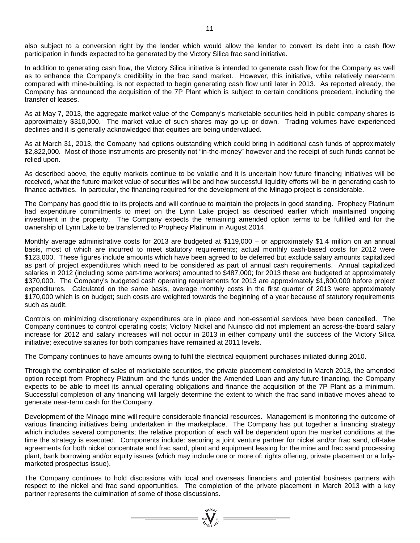also subject to a conversion right by the lender which would allow the lender to convert its debt into a cash flow participation in funds expected to be generated by the Victory Silica frac sand initiative.

In addition to generating cash flow, the Victory Silica initiative is intended to generate cash flow for the Company as well as to enhance the Company's credibility in the frac sand market. However, this initiative, while relatively near-term compared with mine-building, is not expected to begin generating cash flow until later in 2013. As reported already, the Company has announced the acquisition of the 7P Plant which is subject to certain conditions precedent, including the transfer of leases.

As at May 7, 2013, the aggregate market value of the Company's marketable securities held in public company shares is approximately \$310,000. The market value of such shares may go up or down. Trading volumes have experienced declines and it is generally acknowledged that equities are being undervalued.

As at March 31, 2013, the Company had options outstanding which could bring in additional cash funds of approximately \$2,822,000. Most of those instruments are presently not "in-the-money" however and the receipt of such funds cannot be relied upon.

As described above, the equity markets continue to be volatile and it is uncertain how future financing initiatives will be received, what the future market value of securities will be and how successful liquidity efforts will be in generating cash to finance activities. In particular, the financing required for the development of the Minago project is considerable.

The Company has good title to its projects and will continue to maintain the projects in good standing. Prophecy Platinum had expenditure commitments to meet on the Lynn Lake project as described earlier which maintained ongoing investment in the property. The Company expects the remaining amended option terms to be fulfilled and for the ownership of Lynn Lake to be transferred to Prophecy Platinum in August 2014.

Monthly average administrative costs for 2013 are budgeted at \$119,000 – or approximately \$1.4 million on an annual basis, most of which are incurred to meet statutory requirements; actual monthly cash-based costs for 2012 were \$123,000. These figures include amounts which have been agreed to be deferred but exclude salary amounts capitalized as part of project expenditures which need to be considered as part of annual cash requirements. Annual capitalized salaries in 2012 (including some part-time workers) amounted to \$487,000; for 2013 these are budgeted at approximately \$370,000. The Company's budgeted cash operating requirements for 2013 are approximately \$1,800,000 before project expenditures. Calculated on the same basis, average monthly costs in the first quarter of 2013 were approximately \$170,000 which is on budget; such costs are weighted towards the beginning of a year because of statutory requirements such as audit.

Controls on minimizing discretionary expenditures are in place and non-essential services have been cancelled. The Company continues to control operating costs; Victory Nickel and Nuinsco did not implement an across-the-board salary increase for 2012 and salary increases will not occur in 2013 in either company until the success of the Victory Silica initiative; executive salaries for both companies have remained at 2011 levels.

The Company continues to have amounts owing to fulfil the electrical equipment purchases initiated during 2010.

Through the combination of sales of marketable securities, the private placement completed in March 2013, the amended option receipt from Prophecy Platinum and the funds under the Amended Loan and any future financing, the Company expects to be able to meet its annual operating obligations and finance the acquisition of the 7P Plant as a minimum. Successful completion of any financing will largely determine the extent to which the frac sand initiative moves ahead to generate near-term cash for the Company.

Development of the Minago mine will require considerable financial resources. Management is monitoring the outcome of various financing initiatives being undertaken in the marketplace. The Company has put together a financing strategy which includes several components; the relative proportion of each will be dependent upon the market conditions at the time the strategy is executed. Components include: securing a joint venture partner for nickel and/or frac sand, off-take agreements for both nickel concentrate and frac sand, plant and equipment leasing for the mine and frac sand processing plant, bank borrowing and/or equity issues (which may include one or more of: rights offering, private placement or a fullymarketed prospectus issue).

The Company continues to hold discussions with local and overseas financiers and potential business partners with respect to the nickel and frac sand opportunities. The completion of the private placement in March 2013 with a key partner represents the culmination of some of those discussions.

=  $\sum_{i=1}^{N} \sum_{i=1}^{N}$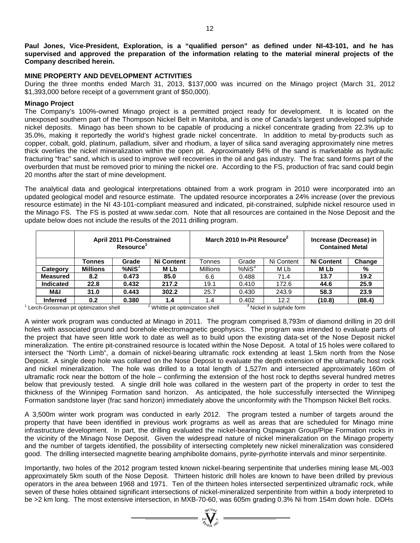**Paul Jones, Vice-President, Exploration, is a "qualified person" as defined under NI-43-101, and he has supervised and approved the preparation of the information relating to the material mineral projects of the Company described herein.**

# **MINE PROPERTY AND DEVELOPMENT ACTIVITIES**

During the three months ended March 31, 2013, \$137,000 was incurred on the Minago project (March 31, 2012 \$1,393,000 before receipt of a government grant of \$50,000).

#### **Minago Project**

The Company's 100%-owned Minago project is a permitted project ready for development. It is located on the unexposed southern part of the Thompson Nickel Belt in Manitoba, and is one of Canada's largest undeveloped sulphide nickel deposits. Minago has been shown to be capable of producing a nickel concentrate grading from 22.3% up to 35.0%, making it reportedly the world's highest grade nickel concentrate. In addition to metal by-products such as copper, cobalt, gold, platinum, palladium, silver and rhodium, a layer of silica sand averaging approximately nine metres thick overlies the nickel mineralization within the open pit. Approximately 84% of the sand is marketable as hydraulic fracturing "frac" sand, which is used to improve well recoveries in the oil and gas industry. The frac sand forms part of the overburden that must be removed prior to mining the nickel ore. According to the FS, production of frac sand could begin 20 months after the start of mine development.

The analytical data and geological interpretations obtained from a work program in 2010 were incorporated into an updated geological model and resource estimate. The updated resource incorporates a 24% increase (over the previous resource estimate) in the NI 43-101-compliant measured and indicated, pit-constrained, sulphide nickel resource used in the Minago FS. The FS is posted at [www.sedar.com.](http://www.sedar.com/) Note that all resources are contained in the Nose Deposit and the update below does not include the results of the 2011 drilling program.

|                                         |                 | <b>April 2011 Pit-Constrained</b><br>Resource <sup>1</sup> |                   | March 2010 In-Pit Resource <sup>2</sup> |                   | Increase (Decrease) in<br><b>Contained Metal</b> |                   |        |
|-----------------------------------------|-----------------|------------------------------------------------------------|-------------------|-----------------------------------------|-------------------|--------------------------------------------------|-------------------|--------|
|                                         | Tonnes          | Grade                                                      | <b>Ni Content</b> | Tonnes                                  | Grade             | Ni Content                                       | <b>Ni Content</b> | Change |
| Category                                | <b>Millions</b> | $%$ Ni $S^3$                                               | M Lb              | <b>Millions</b>                         | %NiS <sup>3</sup> | M Lb                                             | M Lb              | %      |
| <b>Measured</b>                         | 8.2             | 0.473                                                      | 85.0              | 6.6                                     | 0.488             | 71.4                                             | 13.7              | 19.2   |
| <b>Indicated</b>                        | 22.8            | 0.432                                                      | 217.2             | 19.1                                    | 0.410             | 172.6                                            | 44.6              | 25.9   |
| M&I                                     | 31.0            | 0.443                                                      | 302.2             | 25.7                                    | 0.430             | 243.9                                            | 58.3              | 23.9   |
| <b>Inferred</b><br>$\sim$ $\sim$ $\sim$ | 0.2<br>.        | 0.380<br>.                                                 | 1.4<br>2          | 1.4                                     | 0.402             | 12.2                                             | (10.8)            | (88.4) |

 $1$  Lerch-Grossman pit optimization shell  $2^2$  Whittle pit optimization shell  $3^3$  Nickel in sulphide form

A winter work program was conducted at Minago in 2011. The program comprised 8,793m of diamond drilling in 20 drill holes with associated ground and borehole electromagnetic geophysics. The program was intended to evaluate parts of the project that have seen little work to date as well as to build upon the existing data-set of the Nose Deposit nickel mineralization. The entire pit-constrained resource is located within the Nose Deposit. A total of 15 holes were collared to intersect the "North Limb", a domain of nickel-bearing ultramafic rock extending at least 1.5km north from the Nose Deposit. A single deep hole was collared on the Nose Deposit to evaluate the depth extension of the ultramafic host rock and nickel mineralization. The hole was drilled to a total length of 1,527m and intersected approximately 160m of ultramafic rock near the bottom of the hole – confirming the extension of the host rock to depths several hundred metres below that previously tested. A single drill hole was collared in the western part of the property in order to test the thickness of the Winnipeg Formation sand horizon. As anticipated, the hole successfully intersected the Winnipeg Formation sandstone layer (frac sand horizon) immediately above the unconformity with the Thompson Nickel Belt rocks.

A 3,500m winter work program was conducted in early 2012. The program tested a number of targets around the property that have been identified in previous work programs as well as areas that are scheduled for Minago mine infrastructure development. In part, the drilling evaluated the nickel-bearing Ospwagan Group/Pipe Formation rocks in the vicinity of the Minago Nose Deposit. Given the widespread nature of nickel mineralization on the Minago property and the number of targets identified, the possibility of intersecting completely new nickel mineralization was considered good. The drilling intersected magnetite bearing amphibolite domains, pyrite-pyrrhotite intervals and minor serpentinite.

Importantly, two holes of the 2012 program tested known nickel-bearing serpentinite that underlies mining lease ML-003 approximately 5km south of the Nose Deposit. Thirteen historic drill holes are known to have been drilled by previous operators in the area between 1968 and 1971. Ten of the thirteen holes intersected serpentinized ultramafic rock, while seven of these holes obtained significant intersections of nickel-mineralized serpentinite from within a body interpreted to be >2 km long. The most extensive intersection, in MXB-70-60, was 605m grading 0.3% Ni from 154m down hole. DDHs

 $\sum_{\alpha_{\text{crit}}}^{N}$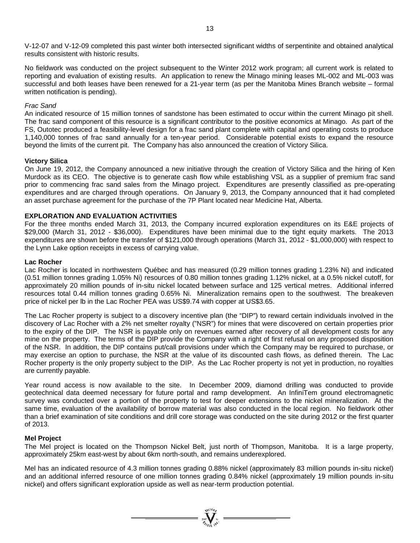V-12-07 and V-12-09 completed this past winter both intersected significant widths of serpentinite and obtained analytical results consistent with historic results.

No fieldwork was conducted on the project subsequent to the Winter 2012 work program; all current work is related to reporting and evaluation of existing results. An application to renew the Minago mining leases ML-002 and ML-003 was successful and both leases have been renewed for a 21-year term (as per the Manitoba Mines Branch website – formal written notification is pending).

#### *Frac Sand*

An indicated resource of 15 million tonnes of sandstone has been estimated to occur within the current Minago pit shell. The frac sand component of this resource is a significant contributor to the positive economics at Minago. As part of the FS, Outotec produced a feasibility-level design for a frac sand plant complete with capital and operating costs to produce 1,140,000 tonnes of frac sand annually for a ten-year period. Considerable potential exists to expand the resource beyond the limits of the current pit. The Company has also announced the creation of Victory Silica.

#### **Victory Silica**

On June 19, 2012, the Company announced a new initiative through the creation of Victory Silica and the hiring of Ken Murdock as its CEO. The objective is to generate cash flow while establishing VSL as a supplier of premium frac sand prior to commencing frac sand sales from the Minago project. Expenditures are presently classified as pre-operating expenditures and are charged through operations. On January 9, 2013, the Company announced that it had completed an asset purchase agreement for the purchase of the 7P Plant located near Medicine Hat, Alberta.

# **EXPLORATION AND EVALUATION ACTIVITIES**

For the three months ended March 31, 2013, the Company incurred exploration expenditures on its E&E projects of \$29,000 (March 31, 2012 - \$36,000). Expenditures have been minimal due to the tight equity markets. The 2013 expenditures are shown before the transfer of \$121,000 through operations (March 31, 2012 - \$1,000,000) with respect to the Lynn Lake option receipts in excess of carrying value.

#### **Lac Rocher**

Lac Rocher is located in northwestern Québec and has measured (0.29 million tonnes grading 1.23% Ni) and indicated (0.51 million tonnes grading 1.05% Ni) resources of 0.80 million tonnes grading 1.12% nickel, at a 0.5% nickel cutoff, for approximately 20 million pounds of in-situ nickel located between surface and 125 vertical metres. Additional inferred resources total 0.44 million tonnes grading 0.65% Ni. Mineralization remains open to the southwest. The breakeven price of nickel per lb in the Lac Rocher PEA was US\$9.74 with copper at US\$3.65.

The Lac Rocher property is subject to a discovery incentive plan (the "DIP") to reward certain individuals involved in the discovery of Lac Rocher with a 2% net smelter royalty ("NSR") for mines that were discovered on certain properties prior to the expiry of the DIP. The NSR is payable only on revenues earned after recovery of all development costs for any mine on the property. The terms of the DIP provide the Company with a right of first refusal on any proposed disposition of the NSR. In addition, the DIP contains put/call provisions under which the Company may be required to purchase, or may exercise an option to purchase, the NSR at the value of its discounted cash flows, as defined therein. The Lac Rocher property is the only property subject to the DIP. As the Lac Rocher property is not yet in production, no royalties are currently payable.

Year round access is now available to the site. In December 2009, diamond drilling was conducted to provide geotechnical data deemed necessary for future portal and ramp development. An InfiniTem ground electromagnetic survey was conducted over a portion of the property to test for deeper extensions to the nickel mineralization. At the same time, evaluation of the availability of borrow material was also conducted in the local region. No fieldwork other than a brief examination of site conditions and drill core storage was conducted on the site during 2012 or the first quarter of 2013.

#### **Mel Project**

The Mel project is located on the Thompson Nickel Belt, just north of Thompson, Manitoba. It is a large property, approximately 25km east-west by about 6km north-south, and remains underexplored.

Mel has an indicated resource of 4.3 million tonnes grading 0.88% nickel (approximately 83 million pounds in-situ nickel) and an additional inferred resource of one million tonnes grading 0.84% nickel (approximately 19 million pounds in-situ nickel) and offers significant exploration upside as well as near-term production potential.

=  $\sum_{i=0}^{\infty} \frac{1}{i} \sum_{j=0}^{\infty} x^{i}$  =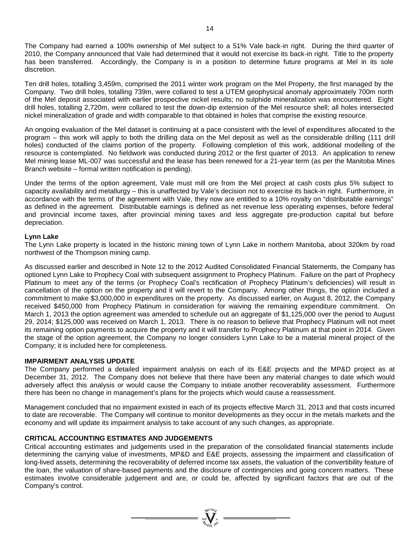The Company had earned a 100% ownership of Mel subject to a 51% Vale back-in right. During the third quarter of 2010, the Company announced that Vale had determined that it would not exercise its back-in right. Title to the property has been transferred. Accordingly, the Company is in a position to determine future programs at Mel in its sole discretion.

Ten drill holes, totalling 3,459m, comprised the 2011 winter work program on the Mel Property, the first managed by the Company. Two drill holes, totalling 739m, were collared to test a UTEM geophysical anomaly approximately 700m north of the Mel deposit associated with earlier prospective nickel results; no sulphide mineralization was encountered. Eight drill holes, totalling 2,720m, were collared to test the down-dip extension of the Mel resource shell; all holes intersected nickel mineralization of grade and width comparable to that obtained in holes that comprise the existing resource.

An ongoing evaluation of the Mel dataset is continuing at a pace consistent with the level of expenditures allocated to the program – this work will apply to both the drilling data on the Mel deposit as well as the considerable drilling (111 drill holes) conducted of the claims portion of the property. Following completion of this work, additional modelling of the resource is contemplated. No fieldwork was conducted during 2012 or the first quarter of 2013. An application to renew Mel mining lease ML-007 was successful and the lease has been renewed for a 21-year term (as per the Manitoba Mines Branch website – formal written notification is pending).

Under the terms of the option agreement, Vale must mill ore from the Mel project at cash costs plus 5% subject to capacity availability and metallurgy – this is unaffected by Vale's decision not to exercise its back-in right. Furthermore, in accordance with the terms of the agreement with Vale, they now are entitled to a 10% royalty on "distributable earnings" as defined in the agreement. Distributable earnings is defined as net revenue less operating expenses, before federal and provincial income taxes, after provincial mining taxes and less aggregate pre-production capital but before depreciation.

#### **Lynn Lake**

The Lynn Lake property is located in the historic mining town of Lynn Lake in northern Manitoba, about 320km by road northwest of the Thompson mining camp.

As discussed earlier and described in Note 12 to the 2012 Audited Consolidated Financial Statements, the Company has optioned Lynn Lake to Prophecy Coal with subsequent assignment to Prophecy Platinum. Failure on the part of Prophecy Platinum to meet any of the terms (or Prophecy Coal's rectification of Prophecy Platinum's deficiencies) will result in cancellation of the option on the property and it will revert to the Company. Among other things, the option included a commitment to make \$3,000,000 in expenditures on the property. As discussed earlier, on August 8, 2012, the Company received \$450,000 from Prophecy Platinum in consideration for waiving the remaining expenditure commitment. On March 1, 2013 the option agreement was amended to schedule out an aggregate of \$1,125,000 over the period to August 29, 2014; \$125,000 was received on March 1, 2013. There is no reason to believe that Prophecy Platinum will not meet its remaining option payments to acquire the property and it will transfer to Prophecy Platinum at that point in 2014. Given the stage of the option agreement, the Company no longer considers Lynn Lake to be a material mineral project of the Company; it is included here for completeness.

#### **IMPAIRMENT ANALYSIS UPDATE**

The Company performed a detailed impairment analysis on each of its E&E projects and the MP&D project as at December 31, 2012. The Company does not believe that there have been any material changes to date which would adversely affect this analysis or would cause the Company to initiate another recoverability assessment. Furthermore there has been no change in management's plans for the projects which would cause a reassessment.

Management concluded that no impairment existed in each of its projects effective March 31, 2013 and that costs incurred to date are recoverable. The Company will continue to monitor developments as they occur in the metals markets and the economy and will update its impairment analysis to take account of any such changes, as appropriate.

# **CRITICAL ACCOUNTING ESTIMATES AND JUDGEMENTS**

Critical accounting estimates and judgements used in the preparation of the consolidated financial statements include determining the carrying value of investments, MP&D and E&E projects, assessing the impairment and classification of long-lived assets, determining the recoverability of deferred income tax assets, the valuation of the convertibility feature of the loan, the valuation of share-based payments and the disclosure of contingencies and going concern matters. These estimates involve considerable judgement and are, or could be, affected by significant factors that are out of the Company's control.

=  $\sum_{i=1}^{N} \sum_{j=1}^{N}$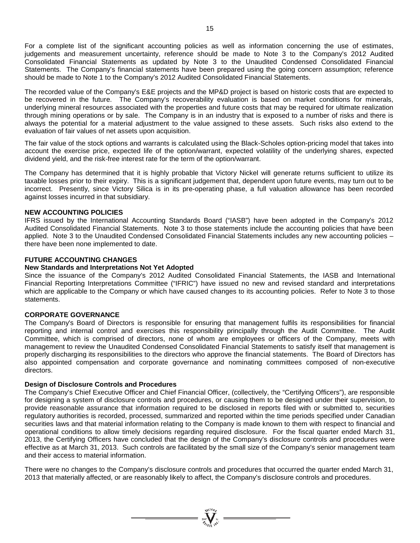For a complete list of the significant accounting policies as well as information concerning the use of estimates, judgements and measurement uncertainty, reference should be made to Note 3 to the Company's 2012 Audited Consolidated Financial Statements as updated by Note 3 to the Unaudited Condensed Consolidated Financial Statements. The Company's financial statements have been prepared using the going concern assumption; reference should be made to Note 1 to the Company's 2012 Audited Consolidated Financial Statements.

The recorded value of the Company's E&E projects and the MP&D project is based on historic costs that are expected to be recovered in the future. The Company's recoverability evaluation is based on market conditions for minerals, underlying mineral resources associated with the properties and future costs that may be required for ultimate realization through mining operations or by sale. The Company is in an industry that is exposed to a number of risks and there is always the potential for a material adjustment to the value assigned to these assets. Such risks also extend to the evaluation of fair values of net assets upon acquisition.

The fair value of the stock options and warrants is calculated using the Black-Scholes option-pricing model that takes into account the exercise price, expected life of the option/warrant, expected volatility of the underlying shares, expected dividend yield, and the risk-free interest rate for the term of the option/warrant.

The Company has determined that it is highly probable that Victory Nickel will generate returns sufficient to utilize its taxable losses prior to their expiry. This is a significant judgement that, dependent upon future events, may turn out to be incorrect. Presently, since Victory Silica is in its pre-operating phase, a full valuation allowance has been recorded against losses incurred in that subsidiary.

# **NEW ACCOUNTING POLICIES**

IFRS issued by the International Accounting Standards Board ("IASB") have been adopted in the Company's 2012 Audited Consolidated Financial Statements. Note 3 to those statements include the accounting policies that have been applied. Note 3 to the Unaudited Condensed Consolidated Financial Statements includes any new accounting policies – there have been none implemented to date.

# **FUTURE ACCOUNTING CHANGES**

#### **New Standards and Interpretations Not Yet Adopted**

Since the issuance of the Company's 2012 Audited Consolidated Financial Statements, the IASB and International Financial Reporting Interpretations Committee ("IFRIC") have issued no new and revised standard and interpretations which are applicable to the Company or which have caused changes to its accounting policies. Refer to Note 3 to those statements.

#### **CORPORATE GOVERNANCE**

The Company's Board of Directors is responsible for ensuring that management fulfils its responsibilities for financial reporting and internal control and exercises this responsibility principally through the Audit Committee. The Audit Committee, which is comprised of directors, none of whom are employees or officers of the Company, meets with management to review the Unaudited Condensed Consolidated Financial Statements to satisfy itself that management is properly discharging its responsibilities to the directors who approve the financial statements. The Board of Directors has also appointed compensation and corporate governance and nominating committees composed of non-executive directors.

#### **Design of Disclosure Controls and Procedures**

The Company's Chief Executive Officer and Chief Financial Officer, (collectively, the "Certifying Officers"), are responsible for designing a system of disclosure controls and procedures, or causing them to be designed under their supervision, to provide reasonable assurance that information required to be disclosed in reports filed with or submitted to, securities regulatory authorities is recorded, processed, summarized and reported within the time periods specified under Canadian securities laws and that material information relating to the Company is made known to them with respect to financial and operational conditions to allow timely decisions regarding required disclosure. For the fiscal quarter ended March 31, 2013, the Certifying Officers have concluded that the design of the Company's disclosure controls and procedures were effective as at March 31, 2013. Such controls are facilitated by the small size of the Company's senior management team and their access to material information.

There were no changes to the Company's disclosure controls and procedures that occurred the quarter ended March 31, 2013 that materially affected, or are reasonably likely to affect, the Company's disclosure controls and procedures.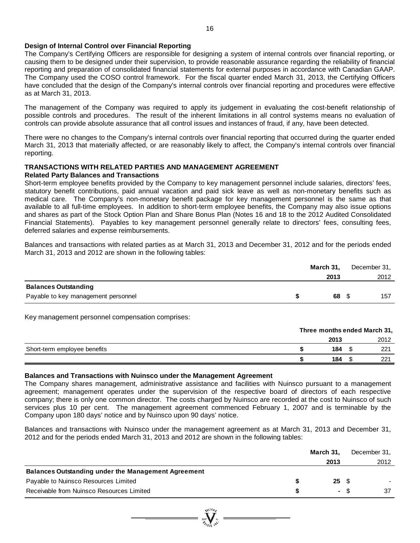#### **Design of Internal Control over Financial Reporting**

The Company's Certifying Officers are responsible for designing a system of internal controls over financial reporting, or causing them to be designed under their supervision, to provide reasonable assurance regarding the reliability of financial reporting and preparation of consolidated financial statements for external purposes in accordance with Canadian GAAP. The Company used the COSO control framework. For the fiscal quarter ended March 31, 2013, the Certifying Officers have concluded that the design of the Company's internal controls over financial reporting and procedures were effective as at March 31, 2013.

The management of the Company was required to apply its judgement in evaluating the cost-benefit relationship of possible controls and procedures. The result of the inherent limitations in all control systems means no evaluation of controls can provide absolute assurance that all control issues and instances of fraud, if any, have been detected.

There were no changes to the Company's internal controls over financial reporting that occurred during the quarter ended March 31, 2013 that materially affected, or are reasonably likely to affect, the Company's internal controls over financial reporting.

#### **TRANSACTIONS WITH RELATED PARTIES AND MANAGEMENT AGREEMENT Related Party Balances and Transactions**

Short-term employee benefits provided by the Company to key management personnel include salaries, directors' fees, statutory benefit contributions, paid annual vacation and paid sick leave as well as non-monetary benefits such as medical care. The Company's non-monetary benefit package for key management personnel is the same as that available to all full-time employees. In addition to short-term employee benefits, the Company may also issue options and shares as part of the Stock Option Plan and Share Bonus Plan (Notes 16 and 18 to the 2012 Audited Consolidated Financial Statements). Payables to key management personnel generally relate to directors' fees, consulting fees, deferred salaries and expense reimbursements.

Balances and transactions with related parties as at March 31, 2013 and December 31, 2012 and for the periods ended March 31, 2013 and 2012 are shown in the following tables:

|                                     | March 31. |  | December 31, |  |  |
|-------------------------------------|-----------|--|--------------|--|--|
|                                     | 2013      |  | 2012         |  |  |
| <b>Balances Outstanding</b>         |           |  |              |  |  |
| Payable to key management personnel | 68 \$     |  | 157          |  |  |

Key management personnel compensation comprises:

|                              | Three months ended March 31, |  |      |  |  |
|------------------------------|------------------------------|--|------|--|--|
|                              | 2013                         |  | 2012 |  |  |
| Short-term employee benefits | 184                          |  | 221  |  |  |
|                              | 184                          |  | 221  |  |  |

#### **Balances and Transactions with Nuinsco under the Management Agreement**

The Company shares management, administrative assistance and facilities with Nuinsco pursuant to a management agreement; management operates under the supervision of the respective board of directors of each respective company; there is only one common director. The costs charged by Nuinsco are recorded at the cost to Nuinsco of such services plus 10 per cent. The management agreement commenced February 1, 2007 and is terminable by the Company upon 180 days' notice and by Nuinsco upon 90 days' notice.

Balances and transactions with Nuinsco under the management agreement as at March 31, 2013 and December 31, 2012 and for the periods ended March 31, 2013 and 2012 are shown in the following tables:

|                                                            | March 31. |        | December 31, |  |
|------------------------------------------------------------|-----------|--------|--------------|--|
|                                                            | 2013      |        | 2012         |  |
| <b>Balances Outstanding under the Management Agreement</b> |           |        |              |  |
| Payable to Nuinsco Resources Limited                       | 25S       |        |              |  |
| Receivable from Nuinsco Resources Limited                  |           | $-$ \$ |              |  |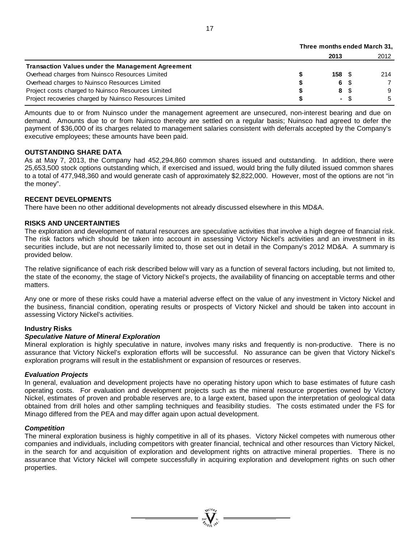|                                                          | Three months enged March 31. |                  |      |      |
|----------------------------------------------------------|------------------------------|------------------|------|------|
|                                                          |                              | 2013             |      | 2012 |
| <b>Transaction Values under the Management Agreement</b> |                              |                  |      |      |
| Overhead charges from Nuinsco Resources Limited          |                              | 158 <sup>°</sup> |      | 214  |
| Overhead charges to Nuinsco Resources Limited            |                              |                  | 6 \$ |      |
| Project costs charged to Nuinsco Resources Limited       |                              |                  | 8 \$ | 9    |
| Project recoveries charged by Nuinsco Resources Limited  |                              |                  | - \$ | 5    |

Amounts due to or from Nuinsco under the management agreement are unsecured, non-interest bearing and due on demand. Amounts due to or from Nuinsco thereby are settled on a regular basis; Nuinsco had agreed to defer the payment of \$36,000 of its charges related to management salaries consistent with deferrals accepted by the Company's executive employees; these amounts have been paid.

# **OUTSTANDING SHARE DATA**

As at May 7, 2013, the Company had 452,294,860 common shares issued and outstanding. In addition, there were 25,653,500 stock options outstanding which, if exercised and issued, would bring the fully diluted issued common shares to a total of 477,948,360 and would generate cash of approximately \$2,822,000. However, most of the options are not "in the money".

# **RECENT DEVELOPMENTS**

There have been no other additional developments not already discussed elsewhere in this MD&A.

# **RISKS AND UNCERTAINTIES**

The exploration and development of natural resources are speculative activities that involve a high degree of financial risk. The risk factors which should be taken into account in assessing Victory Nickel's activities and an investment in its securities include, but are not necessarily limited to, those set out in detail in the Company's 2012 MD&A. A summary is provided below.

The relative significance of each risk described below will vary as a function of several factors including, but not limited to, the state of the economy, the stage of Victory Nickel's projects, the availability of financing on acceptable terms and other matters.

Any one or more of these risks could have a material adverse effect on the value of any investment in Victory Nickel and the business, financial condition, operating results or prospects of Victory Nickel and should be taken into account in assessing Victory Nickel's activities.

# **Industry Risks**

# *Speculative Nature of Mineral Exploration*

Mineral exploration is highly speculative in nature, involves many risks and frequently is non-productive. There is no assurance that Victory Nickel's exploration efforts will be successful. No assurance can be given that Victory Nickel's exploration programs will result in the establishment or expansion of resources or reserves.

# *Evaluation Projects*

In general, evaluation and development projects have no operating history upon which to base estimates of future cash operating costs. For evaluation and development projects such as the mineral resource properties owned by Victory Nickel, estimates of proven and probable reserves are, to a large extent, based upon the interpretation of geological data obtained from drill holes and other sampling techniques and feasibility studies. The costs estimated under the FS for Minago differed from the PEA and may differ again upon actual development.

# *Competition*

The mineral exploration business is highly competitive in all of its phases. Victory Nickel competes with numerous other companies and individuals, including competitors with greater financial, technical and other resources than Victory Nickel, in the search for and acquisition of exploration and development rights on attractive mineral properties. There is no assurance that Victory Nickel will compete successfully in acquiring exploration and development rights on such other properties.

**Three months ended March 31,**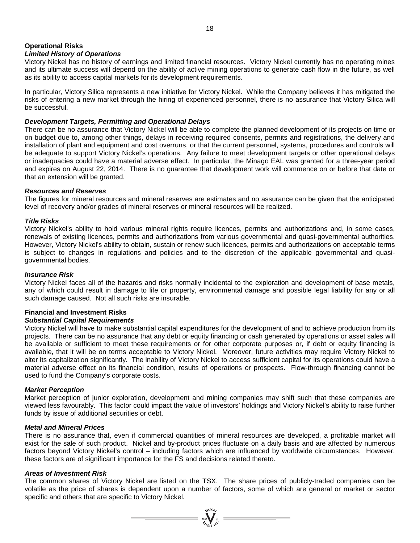# **Operational Risks**

# *Limited History of Operations*

Victory Nickel has no history of earnings and limited financial resources. Victory Nickel currently has no operating mines and its ultimate success will depend on the ability of active mining operations to generate cash flow in the future, as well as its ability to access capital markets for its development requirements.

In particular, Victory Silica represents a new initiative for Victory Nickel. While the Company believes it has mitigated the risks of entering a new market through the hiring of experienced personnel, there is no assurance that Victory Silica will be successful.

# *Development Targets, Permitting and Operational Delays*

There can be no assurance that Victory Nickel will be able to complete the planned development of its projects on time or on budget due to, among other things, delays in receiving required consents, permits and registrations, the delivery and installation of plant and equipment and cost overruns, or that the current personnel, systems, procedures and controls will be adequate to support Victory Nickel's operations. Any failure to meet development targets or other operational delays or inadequacies could have a material adverse effect. In particular, the Minago EAL was granted for a three-year period and expires on August 22, 2014. There is no guarantee that development work will commence on or before that date or that an extension will be granted.

# *Resources and Reserves*

The figures for mineral resources and mineral reserves are estimates and no assurance can be given that the anticipated level of recovery and/or grades of mineral reserves or mineral resources will be realized.

# *Title Risks*

Victory Nickel's ability to hold various mineral rights require licences, permits and authorizations and, in some cases, renewals of existing licences, permits and authorizations from various governmental and quasi-governmental authorities. However, Victory Nickel's ability to obtain, sustain or renew such licences, permits and authorizations on acceptable terms is subject to changes in regulations and policies and to the discretion of the applicable governmental and quasigovernmental bodies.

#### *Insurance Risk*

Victory Nickel faces all of the hazards and risks normally incidental to the exploration and development of base metals, any of which could result in damage to life or property, environmental damage and possible legal liability for any or all such damage caused. Not all such risks are insurable.

# **Financial and Investment Risks**

# *Substantial Capital Requirements*

Victory Nickel will have to make substantial capital expenditures for the development of and to achieve production from its projects. There can be no assurance that any debt or equity financing or cash generated by operations or asset sales will be available or sufficient to meet these requirements or for other corporate purposes or, if debt or equity financing is available, that it will be on terms acceptable to Victory Nickel. Moreover, future activities may require Victory Nickel to alter its capitalization significantly. The inability of Victory Nickel to access sufficient capital for its operations could have a material adverse effect on its financial condition, results of operations or prospects. Flow-through financing cannot be used to fund the Company's corporate costs.

# *Market Perception*

Market perception of junior exploration, development and mining companies may shift such that these companies are viewed less favourably. This factor could impact the value of investors' holdings and Victory Nickel's ability to raise further funds by issue of additional securities or debt.

#### *Metal and Mineral Prices*

There is no assurance that, even if commercial quantities of mineral resources are developed, a profitable market will exist for the sale of such product. Nickel and by-product prices fluctuate on a daily basis and are affected by numerous factors beyond Victory Nickel's control – including factors which are influenced by worldwide circumstances. However, these factors are of significant importance for the FS and decisions related thereto.

# *Areas of Investment Risk*

The common shares of Victory Nickel are listed on the TSX. The share prices of publicly-traded companies can be volatile as the price of shares is dependent upon a number of factors, some of which are general or market or sector specific and others that are specific to Victory Nickel.

 $\sum_{\substack{\mathbf{3007}}{300}}$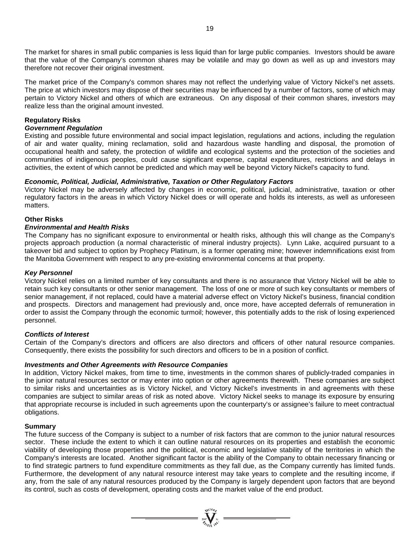The market for shares in small public companies is less liquid than for large public companies. Investors should be aware that the value of the Company's common shares may be volatile and may go down as well as up and investors may therefore not recover their original investment.

The market price of the Company's common shares may not reflect the underlying value of Victory Nickel's net assets. The price at which investors may dispose of their securities may be influenced by a number of factors, some of which may pertain to Victory Nickel and others of which are extraneous. On any disposal of their common shares, investors may realize less than the original amount invested.

# **Regulatory Risks**

# *Government Regulation*

Existing and possible future environmental and social impact legislation, regulations and actions, including the regulation of air and water quality, mining reclamation, solid and hazardous waste handling and disposal, the promotion of occupational health and safety, the protection of wildlife and ecological systems and the protection of the societies and communities of indigenous peoples, could cause significant expense, capital expenditures, restrictions and delays in activities, the extent of which cannot be predicted and which may well be beyond Victory Nickel's capacity to fund.

# *Economic, Political, Judicial, Administrative, Taxation or Other Regulatory Factors*

Victory Nickel may be adversely affected by changes in economic, political, judicial, administrative, taxation or other regulatory factors in the areas in which Victory Nickel does or will operate and holds its interests, as well as unforeseen matters.

# **Other Risks**

# *Environmental and Health Risks*

The Company has no significant exposure to environmental or health risks, although this will change as the Company's projects approach production (a normal characteristic of mineral industry projects). Lynn Lake, acquired pursuant to a takeover bid and subject to option by Prophecy Platinum, is a former operating mine; however indemnifications exist from the Manitoba Government with respect to any pre-existing environmental concerns at that property.

# *Key Personnel*

Victory Nickel relies on a limited number of key consultants and there is no assurance that Victory Nickel will be able to retain such key consultants or other senior management. The loss of one or more of such key consultants or members of senior management, if not replaced, could have a material adverse effect on Victory Nickel's business, financial condition and prospects. Directors and management had previously and, once more, have accepted deferrals of remuneration in order to assist the Company through the economic turmoil; however, this potentially adds to the risk of losing experienced personnel.

# *Conflicts of Interest*

Certain of the Company's directors and officers are also directors and officers of other natural resource companies. Consequently, there exists the possibility for such directors and officers to be in a position of conflict.

# *Investments and Other Agreements with Resource Companies*

In addition, Victory Nickel makes, from time to time, investments in the common shares of publicly-traded companies in the junior natural resources sector or may enter into option or other agreements therewith. These companies are subject to similar risks and uncertainties as is Victory Nickel, and Victory Nickel's investments in and agreements with these companies are subject to similar areas of risk as noted above. Victory Nickel seeks to manage its exposure by ensuring that appropriate recourse is included in such agreements upon the counterparty's or assignee's failure to meet contractual obligations.

# **Summary**

The future success of the Company is subject to a number of risk factors that are common to the junior natural resources sector. These include the extent to which it can outline natural resources on its properties and establish the economic viability of developing those properties and the political, economic and legislative stability of the territories in which the Company's interests are located. Another significant factor is the ability of the Company to obtain necessary financing or to find strategic partners to fund expenditure commitments as they fall due, as the Company currently has limited funds. Furthermore, the development of any natural resource interest may take years to complete and the resulting income, if any, from the sale of any natural resources produced by the Company is largely dependent upon factors that are beyond its control, such as costs of development, operating costs and the market value of the end product.

=  $\sum_{i=1}^{N^{(10)}_{N}}$